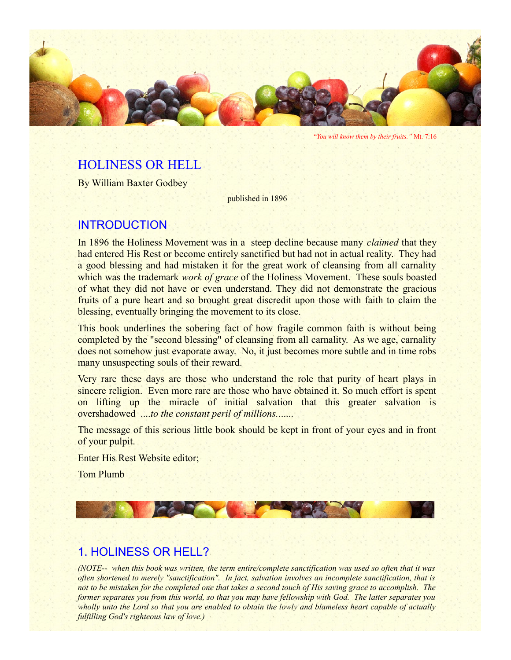

"*You will know them by their fruits."* Mt. 7:16

# HOLINESS OR HELL

By William Baxter Godbey

published in 1896

## INTRODUCTION

In 1896 the Holiness Movement was in a steep decline because many *claimed* that they had entered His Rest or become entirely sanctified but had not in actual reality. They had a good blessing and had mistaken it for the great work of cleansing from all carnality which was the trademark *work of grace* of the Holiness Movement. These souls boasted of what they did not have or even understand. They did not demonstrate the gracious fruits of a pure heart and so brought great discredit upon those with faith to claim the blessing, eventually bringing the movement to its close.

This book underlines the sobering fact of how fragile common faith is without being completed by the "second blessing" of cleansing from all carnality. As we age, carnality does not somehow just evaporate away. No, it just becomes more subtle and in time robs many unsuspecting souls of their reward.

Very rare these days are those who understand the role that purity of heart plays in sincere religion. Even more rare are those who have obtained it. So much effort is spent on lifting up the miracle of initial salvation that this greater salvation is overshadowed ....*to the constant peril of millions.*......

The message of this serious little book should be kept in front of your eyes and in front of your pulpit.

Enter His Rest Website editor;

Tom Plumb



# 1. HOLINESS OR HELL?

*(NOTE-- when this book was written, the term entire/complete sanctification was used so often that it was often shortened to merely "sanctification". In fact, salvation involves an incomplete sanctification, that is not to be mistaken for the completed one that takes a second touch of His saving grace to accomplish. The former separates you from this world, so that you may have fellowship with God. The latter separates you wholly unto the Lord so that you are enabled to obtain the lowly and blameless heart capable of actually fulfilling God's righteous law of love.)*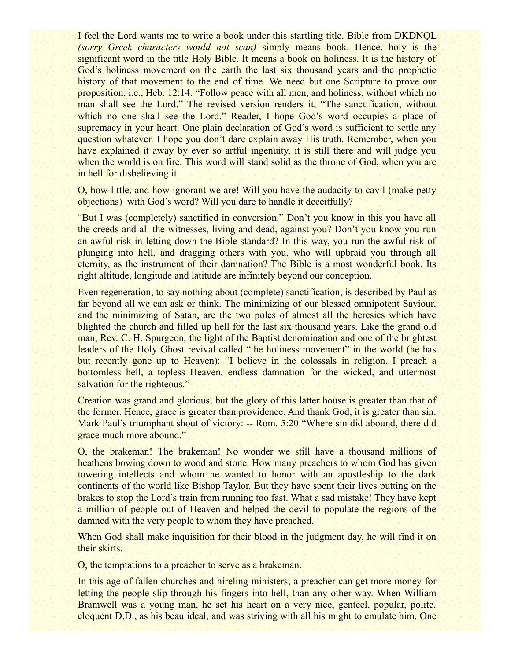I feel the Lord wants me to write a book under this startling title. Bible from DKDNQL *(sorry Greek characters would not scan)* simply means book. Hence, holy is the significant word in the title Holy Bible. It means a book on holiness. It is the history of God's holiness movement on the earth the last six thousand years and the prophetic history of that movement to the end of time. We need but one Scripture to prove our proposition, i.e., Heb. 12:14. "Follow peace with all men, and holiness, without which no man shall see the Lord." The revised version renders it, "The sanctification, without which no one shall see the Lord." Reader, I hope God's word occupies a place of supremacy in your heart. One plain declaration of God's word is sufficient to settle any question whatever. I hope you don't dare explain away His truth. Remember, when you have explained it away by ever so artful ingenuity, it is still there and will judge you when the world is on fire. This word will stand solid as the throne of God, when you are in hell for disbelieving it.

O, how little, and how ignorant we are! Will you have the audacity to cavil (make petty objections) with God's word? Will you dare to handle it deceitfully?

"But I was (completely) sanctified in conversion." Don't you know in this you have all the creeds and all the witnesses, living and dead, against you? Don't you know you run an awful risk in letting down the Bible standard? In this way, you run the awful risk of plunging into hell, and dragging others with you, who will upbraid you through all eternity, as the instrument of their damnation? The Bible is a most wonderful book. Its right altitude, longitude and latitude are infinitely beyond our conception.

Even regeneration, to say nothing about (complete) sanctification, is described by Paul as far beyond all we can ask or think. The minimizing of our blessed omnipotent Saviour, and the minimizing of Satan, are the two poles of almost all the heresies which have blighted the church and filled up hell for the last six thousand years. Like the grand old man, Rev. C. H. Spurgeon, the light of the Baptist denomination and one of the brightest leaders of the Holy Ghost revival called "the holiness movement" in the world (he has but recently gone up to Heaven): "I believe in the colossals in religion. I preach a bottomless hell, a topless Heaven, endless damnation for the wicked, and uttermost salvation for the righteous."

Creation was grand and glorious, but the glory of this latter house is greater than that of the former. Hence, grace is greater than providence. And thank God, it is greater than sin. Mark Paul's triumphant shout of victory: -- Rom. 5:20 "Where sin did abound, there did grace much more abound."

O, the brakeman! The brakeman! No wonder we still have a thousand millions of heathens bowing down to wood and stone. How many preachers to whom God has given towering intellects and whom he wanted to honor with an apostleship to the dark continents of the world like Bishop Taylor. But they have spent their lives putting on the brakes to stop the Lord's train from running too fast. What a sad mistake! They have kept a million of people out of Heaven and helped the devil to populate the regions of the damned with the very people to whom they have preached.

When God shall make inquisition for their blood in the judgment day, he will find it on their skirts.

O, the temptations to a preacher to serve as a brakeman.

In this age of fallen churches and hireling ministers, a preacher can get more money for letting the people slip through his fingers into hell, than any other way. When William Bramwell was a young man, he set his heart on a very nice, genteel, popular, polite, eloquent D.D., as his beau ideal, and was striving with all his might to emulate him. One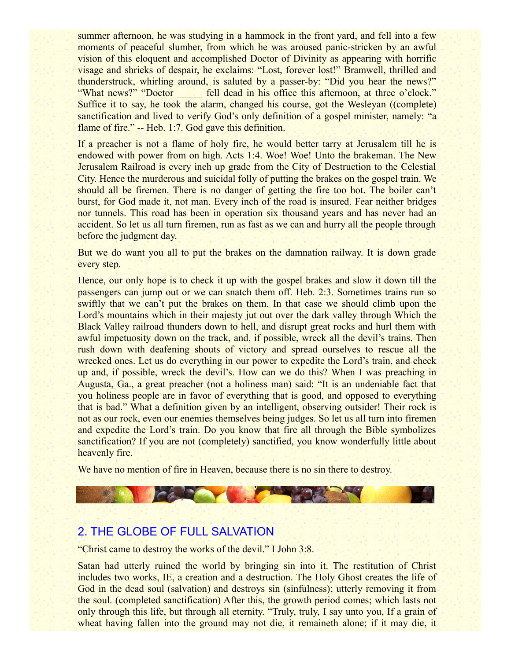summer afternoon, he was studying in a hammock in the front yard, and fell into a few moments of peaceful slumber, from which he was aroused panic-stricken by an awful vision of this eloquent and accomplished Doctor of Divinity as appearing with horrific visage and shrieks of despair, he exclaims: "Lost, forever lost!" Bramwell, thrilled and thunderstruck, whirling around, is saluted by a passer-by: "Did you hear the news?" "What news?" "Doctor fell dead in his office this afternoon, at three o'clock." Suffice it to say, he took the alarm, changed his course, got the Wesleyan ((complete) sanctification and lived to verify God's only definition of a gospel minister, namely: "a flame of fire." -- Heb. 1:7. God gave this definition.

If a preacher is not a flame of holy fire, he would better tarry at Jerusalem till he is endowed with power from on high. Acts 1:4. Woe! Woe! Unto the brakeman. The New Jerusalem Railroad is every inch up grade from the City of Destruction to the Celestial City. Hence the murderous and suicidal folly of putting the brakes on the gospel train. We should all be firemen. There is no danger of getting the fire too hot. The boiler can't burst, for God made it, not man. Every inch of the road is insured. Fear neither bridges nor tunnels. This road has been in operation six thousand years and has never had an accident. So let us all turn firemen, run as fast as we can and hurry all the people through before the judgment day.

But we do want you all to put the brakes on the damnation railway. It is down grade every step.

Hence, our only hope is to check it up with the gospel brakes and slow it down till the passengers can jump out or we can snatch them off. Heb. 2:3. Sometimes trains run so swiftly that we can't put the brakes on them. In that case we should climb upon the Lord's mountains which in their majesty jut out over the dark valley through Which the Black Valley railroad thunders down to hell, and disrupt great rocks and hurl them with awful impetuosity down on the track, and, if possible, wreck all the devil's trains. Then rush down with deafening shouts of victory and spread ourselves to rescue all the wrecked ones. Let us do everything in our power to expedite the Lord's train, and check up and, if possible, wreck the devil's. How can we do this? When I was preaching in Augusta, Ga., a great preacher (not a holiness man) said: "It is an undeniable fact that you holiness people are in favor of everything that is good, and opposed to everything that is bad." What a definition given by an intelligent, observing outsider! Their rock is not as our rock, even our enemies themselves being judges. So let us all turn into firemen and expedite the Lord's train. Do you know that fire all through the Bible symbolizes sanctification? If you are not (completely) sanctified, you know wonderfully little about heavenly fire.

We have no mention of fire in Heaven, because there is no sin there to destroy.

# 2. THE GLOBE OF FULL SALVATION

"Christ came to destroy the works of the devil." I John 3:8.

Satan had utterly ruined the world by bringing sin into it. The restitution of Christ includes two works, IE, a creation and a destruction. The Holy Ghost creates the life of God in the dead soul (salvation) and destroys sin (sinfulness); utterly removing it from the soul. (completed sanctification) After this, the growth period comes; which lasts not only through this life, but through all eternity. "Truly, truly, I say unto you, If a grain of wheat having fallen into the ground may not die, it remaineth alone; if it may die, it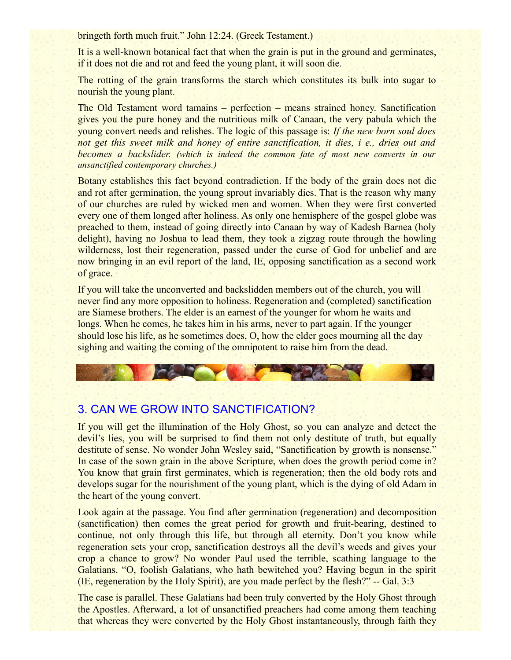bringeth forth much fruit." John 12:24. (Greek Testament.)

It is a well-known botanical fact that when the grain is put in the ground and germinates, if it does not die and rot and feed the young plant, it will soon die.

The rotting of the grain transforms the starch which constitutes its bulk into sugar to nourish the young plant.

The Old Testament word tamains – perfection – means strained honey. Sanctification gives you the pure honey and the nutritious milk of Canaan, the very pabula which the young convert needs and relishes. The logic of this passage is: *If the new born soul does not get this sweet milk and honey of entire sanctification, it dies, i e., dries out and becomes a backslider. (which is indeed the common fate of most new converts in our unsanctified contemporary churches.)*

Botany establishes this fact beyond contradiction. If the body of the grain does not die and rot after germination, the young sprout invariably dies. That is the reason why many of our churches are ruled by wicked men and women. When they were first converted every one of them longed after holiness. As only one hemisphere of the gospel globe was preached to them, instead of going directly into Canaan by way of Kadesh Barnea (holy delight), having no Joshua to lead them, they took a zigzag route through the howling wilderness, lost their regeneration, passed under the curse of God for unbelief and are now bringing in an evil report of the land, IE, opposing sanctification as a second work of grace.

If you will take the unconverted and backslidden members out of the church, you will never find any more opposition to holiness. Regeneration and (completed) sanctification are Siamese brothers. The elder is an earnest of the younger for whom he waits and longs. When he comes, he takes him in his arms, never to part again. If the younger should lose his life, as he sometimes does, O, how the elder goes mourning all the day sighing and waiting the coming of the omnipotent to raise him from the dead.

# 3. CAN WE GROW INTO SANCTIFICATION?

If you will get the illumination of the Holy Ghost, so you can analyze and detect the devil's lies, you will be surprised to find them not only destitute of truth, but equally destitute of sense. No wonder John Wesley said, "Sanctification by growth is nonsense." In case of the sown grain in the above Scripture, when does the growth period come in? You know that grain first germinates, which is regeneration; then the old body rots and develops sugar for the nourishment of the young plant, which is the dying of old Adam in the heart of the young convert.

Look again at the passage. You find after germination (regeneration) and decomposition (sanctification) then comes the great period for growth and fruit-bearing, destined to continue, not only through this life, but through all eternity. Don't you know while regeneration sets your crop, sanctification destroys all the devil's weeds and gives your crop a chance to grow? No wonder Paul used the terrible, scathing language to the Galatians. "O, foolish Galatians, who hath bewitched you? Having begun in the spirit (IE, regeneration by the Holy Spirit), are you made perfect by the flesh?" -- Gal. 3:3

The case is parallel. These Galatians had been truly converted by the Holy Ghost through the Apostles. Afterward, a lot of unsanctified preachers had come among them teaching that whereas they were converted by the Holy Ghost instantaneously, through faith they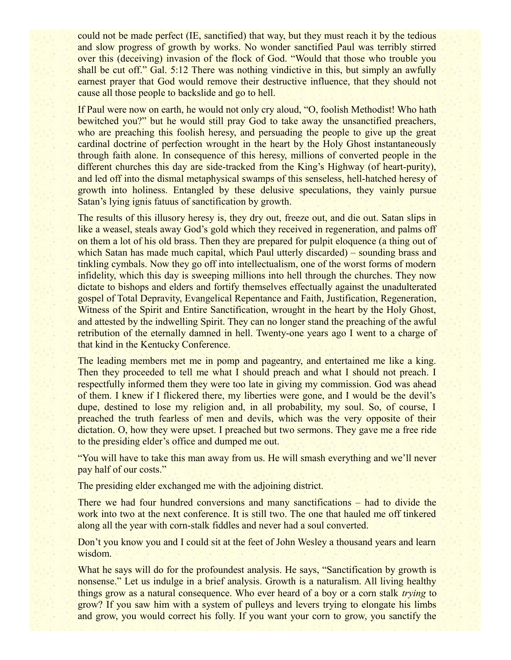could not be made perfect (IE, sanctified) that way, but they must reach it by the tedious and slow progress of growth by works. No wonder sanctified Paul was terribly stirred over this (deceiving) invasion of the flock of God. "Would that those who trouble you shall be cut off." Gal. 5:12 There was nothing vindictive in this, but simply an awfully earnest prayer that God would remove their destructive influence, that they should not cause all those people to backslide and go to hell.

If Paul were now on earth, he would not only cry aloud, "O, foolish Methodist! Who hath bewitched you?" but he would still pray God to take away the unsanctified preachers, who are preaching this foolish heresy, and persuading the people to give up the great cardinal doctrine of perfection wrought in the heart by the Holy Ghost instantaneously through faith alone. In consequence of this heresy, millions of converted people in the different churches this day are side-tracked from the King's Highway (of heart-purity), and led off into the dismal metaphysical swamps of this senseless, hell-hatched heresy of growth into holiness. Entangled by these delusive speculations, they vainly pursue Satan's lying ignis fatuus of sanctification by growth.

The results of this illusory heresy is, they dry out, freeze out, and die out. Satan slips in like a weasel, steals away God's gold which they received in regeneration, and palms off on them a lot of his old brass. Then they are prepared for pulpit eloquence (a thing out of which Satan has made much capital, which Paul utterly discarded) – sounding brass and tinkling cymbals. Now they go off into intellectualism, one of the worst forms of modern infidelity, which this day is sweeping millions into hell through the churches. They now dictate to bishops and elders and fortify themselves effectually against the unadulterated gospel of Total Depravity, Evangelical Repentance and Faith, Justification, Regeneration, Witness of the Spirit and Entire Sanctification, wrought in the heart by the Holy Ghost, and attested by the indwelling Spirit. They can no longer stand the preaching of the awful retribution of the eternally damned in hell. Twenty-one years ago I went to a charge of that kind in the Kentucky Conference.

The leading members met me in pomp and pageantry, and entertained me like a king. Then they proceeded to tell me what I should preach and what I should not preach. I respectfully informed them they were too late in giving my commission. God was ahead of them. I knew if I flickered there, my liberties were gone, and I would be the devil's dupe, destined to lose my religion and, in all probability, my soul. So, of course, I preached the truth fearless of men and devils, which was the very opposite of their dictation. O, how they were upset. I preached but two sermons. They gave me a free ride to the presiding elder's office and dumped me out.

"You will have to take this man away from us. He will smash everything and we'll never pay half of our costs."

The presiding elder exchanged me with the adjoining district.

There we had four hundred conversions and many sanctifications – had to divide the work into two at the next conference. It is still two. The one that hauled me off tinkered along all the year with corn-stalk fiddles and never had a soul converted.

Don't you know you and I could sit at the feet of John Wesley a thousand years and learn wisdom.

What he says will do for the profoundest analysis. He says, "Sanctification by growth is nonsense." Let us indulge in a brief analysis. Growth is a naturalism. All living healthy things grow as a natural consequence. Who ever heard of a boy or a corn stalk *trying* to grow? If you saw him with a system of pulleys and levers trying to elongate his limbs and grow, you would correct his folly. If you want your corn to grow, you sanctify the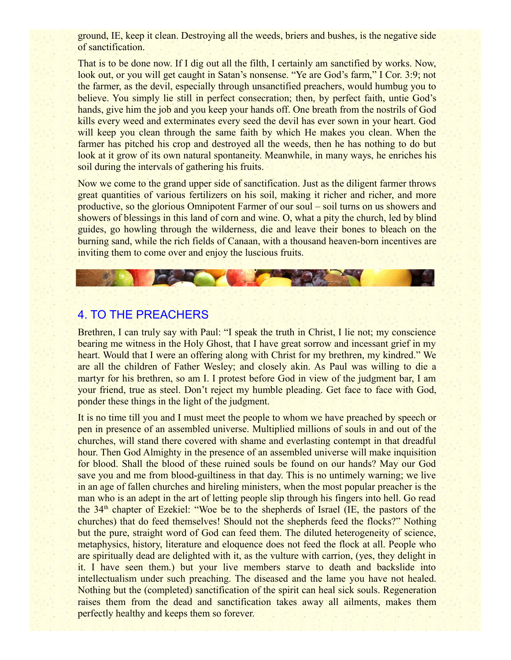ground, IE, keep it clean. Destroying all the weeds, briers and bushes, is the negative side of sanctification.

That is to be done now. If I dig out all the filth, I certainly am sanctified by works. Now, look out, or you will get caught in Satan's nonsense. "Ye are God's farm," I Cor. 3:9; not the farmer, as the devil, especially through unsanctified preachers, would humbug you to believe. You simply lie still in perfect consecration; then, by perfect faith, untie God's hands, give him the job and you keep your hands off. One breath from the nostrils of God kills every weed and exterminates every seed the devil has ever sown in your heart. God will keep you clean through the same faith by which He makes you clean. When the farmer has pitched his crop and destroyed all the weeds, then he has nothing to do but look at it grow of its own natural spontaneity. Meanwhile, in many ways, he enriches his soil during the intervals of gathering his fruits.

Now we come to the grand upper side of sanctification. Just as the diligent farmer throws great quantities of various fertilizers on his soil, making it richer and richer, and more productive, so the glorious Omnipotent Farmer of our soul – soil turns on us showers and showers of blessings in this land of corn and wine. O, what a pity the church, led by blind guides, go howling through the wilderness, die and leave their bones to bleach on the burning sand, while the rich fields of Canaan, with a thousand heaven-born incentives are inviting them to come over and enjoy the luscious fruits.

**CAR THE BEAT** 

# 4. TO THE PREACHERS

Brethren, I can truly say with Paul: "I speak the truth in Christ, I lie not; my conscience bearing me witness in the Holy Ghost, that I have great sorrow and incessant grief in my heart. Would that I were an offering along with Christ for my brethren, my kindred." We are all the children of Father Wesley; and closely akin. As Paul was willing to die a martyr for his brethren, so am I. I protest before God in view of the judgment bar, I am your friend, true as steel. Don't reject my humble pleading. Get face to face with God, ponder these things in the light of the judgment.

It is no time till you and I must meet the people to whom we have preached by speech or pen in presence of an assembled universe. Multiplied millions of souls in and out of the churches, will stand there covered with shame and everlasting contempt in that dreadful hour. Then God Almighty in the presence of an assembled universe will make inquisition for blood. Shall the blood of these ruined souls be found on our hands? May our God save you and me from blood-guiltiness in that day. This is no untimely warning; we live in an age of fallen churches and hireling ministers, when the most popular preacher is the man who is an adept in the art of letting people slip through his fingers into hell. Go read the  $34<sup>th</sup>$  chapter of Ezekiel: "Woe be to the shepherds of Israel (IE, the pastors of the churches) that do feed themselves! Should not the shepherds feed the flocks?" Nothing but the pure, straight word of God can feed them. The diluted heterogeneity of science, metaphysics, history, literature and eloquence does not feed the flock at all. People who are spiritually dead are delighted with it, as the vulture with carrion, (yes, they delight in it. I have seen them.) but your live members starve to death and backslide into intellectualism under such preaching. The diseased and the lame you have not healed. Nothing but the (completed) sanctification of the spirit can heal sick souls. Regeneration raises them from the dead and sanctification takes away all ailments, makes them perfectly healthy and keeps them so forever.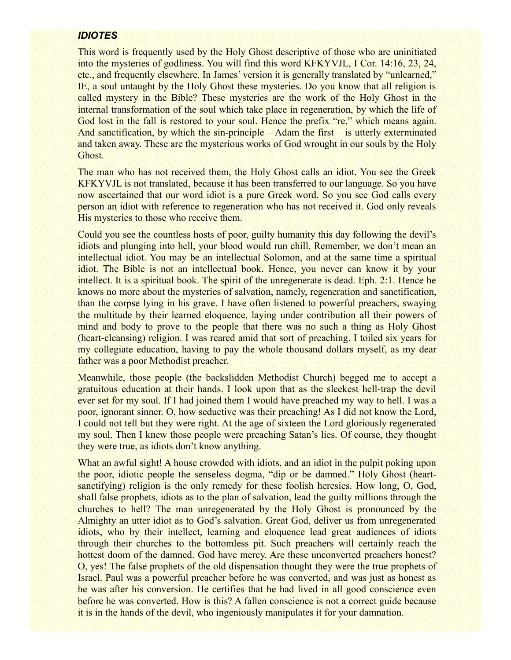#### *IDIOTES*

This word is frequently used by the Holy Ghost descriptive of those who are uninitiated into the mysteries of godliness. You will find this word KFKYVJL, I Cor. 14:16, 23, 24, etc., and frequently elsewhere. In James' version it is generally translated by "unlearned," IE, a soul untaught by the Holy Ghost these mysteries. Do you know that all religion is called mystery in the Bible? These mysteries are the work of the Holy Ghost in the internal transformation of the soul which take place in regeneration, by which the life of God lost in the fall is restored to your soul. Hence the prefix "re," which means again. And sanctification, by which the sin-principle – Adam the first – is utterly exterminated and taken away. These are the mysterious works of God wrought in our souls by the Holy Ghost.

The man who has not received them, the Holy Ghost calls an idiot. You see the Greek KFKYVJL is not translated, because it has been transferred to our language. So you have now ascertained that our word idiot is a pure Greek word. So you see God calls every person an idiot with reference to regeneration who has not received it. God only reveals His mysteries to those who receive them.

Could you see the countless hosts of poor, guilty humanity this day following the devil's idiots and plunging into hell, your blood would run chill. Remember, we don't mean an intellectual idiot. You may be an intellectual Solomon, and at the same time a spiritual idiot. The Bible is not an intellectual book. Hence, you never can know it by your intellect. It is a spiritual book. The spirit of the unregenerate is dead. Eph. 2:1. Hence he knows no more about the mysteries of salvation, namely, regeneration and sanctification, than the corpse lying in his grave. I have often listened to powerful preachers, swaying the multitude by their learned eloquence, laying under contribution all their powers of mind and body to prove to the people that there was no such a thing as Holy Ghost (heart-cleansing) religion. I was reared amid that sort of preaching. I toiled six years for my collegiate education, having to pay the whole thousand dollars myself, as my dear father was a poor Methodist preacher.

Meanwhile, those people (the backslidden Methodist Church) begged me to accept a gratuitous education at their hands. I look upon that as the sleekest hell-trap the devil ever set for my soul. If I had joined them I would have preached my way to hell. I was a poor, ignorant sinner. O, how seductive was their preaching! As I did not know the Lord, I could not tell but they were right. At the age of sixteen the Lord gloriously regenerated my soul. Then I knew those people were preaching Satan's lies. Of course, they thought they were true, as idiots don't know anything.

What an awful sight! A house crowded with idiots, and an idiot in the pulpit poking upon the poor, idiotic people the senseless dogma, "dip or be damned." Holy Ghost (heartsanctifying) religion is the only remedy for these foolish heresies. How long, O, God, shall false prophets, idiots as to the plan of salvation, lead the guilty millions through the churches to hell? The man unregenerated by the Holy Ghost is pronounced by the Almighty an utter idiot as to God's salvation. Great God, deliver us from unregenerated idiots, who by their intellect, learning and eloquence lead great audiences of idiots through their churches to the bottomless pit. Such preachers will certainly reach the hottest doom of the damned. God have mercy. Are these unconverted preachers honest? O, yes! The false prophets of the old dispensation thought they were the true prophets of Israel. Paul was a powerful preacher before he was converted, and was just as honest as he was after his conversion. He certifies that he had lived in all good conscience even before he was converted. How is this? A fallen conscience is not a correct guide because it is in the hands of the devil, who ingeniously manipulates it for your damnation.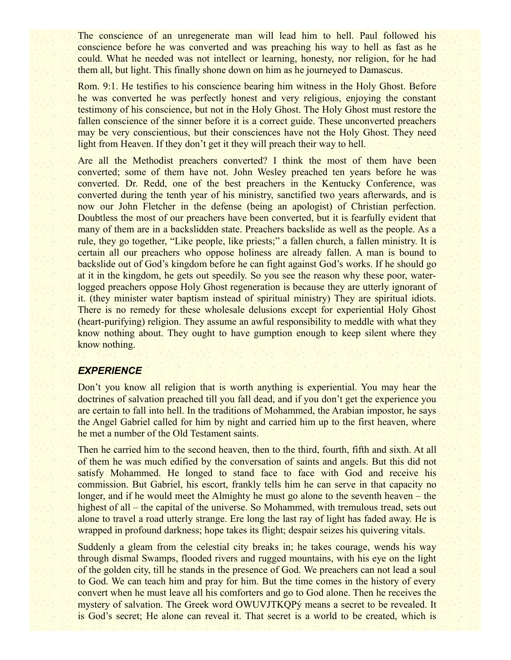The conscience of an unregenerate man will lead him to hell. Paul followed his conscience before he was converted and was preaching his way to hell as fast as he could. What he needed was not intellect or learning, honesty, nor religion, for he had them all, but light. This finally shone down on him as he journeyed to Damascus.

Rom. 9:1. He testifies to his conscience bearing him witness in the Holy Ghost. Before he was converted he was perfectly honest and very religious, enjoying the constant testimony of his conscience, but not in the Holy Ghost. The Holy Ghost must restore the fallen conscience of the sinner before it is a correct guide. These unconverted preachers may be very conscientious, but their consciences have not the Holy Ghost. They need light from Heaven. If they don't get it they will preach their way to hell.

Are all the Methodist preachers converted? I think the most of them have been converted; some of them have not. John Wesley preached ten years before he was converted. Dr. Redd, one of the best preachers in the Kentucky Conference, was converted during the tenth year of his ministry, sanctified two years afterwards, and is now our John Fletcher in the defense (being an apologist) of Christian perfection. Doubtless the most of our preachers have been converted, but it is fearfully evident that many of them are in a backslidden state. Preachers backslide as well as the people. As a rule, they go together, "Like people, like priests;" a fallen church, a fallen ministry. It is certain all our preachers who oppose holiness are already fallen. A man is bound to backslide out of God's kingdom before he can fight against God's works. If he should go at it in the kingdom, he gets out speedily. So you see the reason why these poor, waterlogged preachers oppose Holy Ghost regeneration is because they are utterly ignorant of it. (they minister water baptism instead of spiritual ministry) They are spiritual idiots. There is no remedy for these wholesale delusions except for experiential Holy Ghost (heart-purifying) religion. They assume an awful responsibility to meddle with what they know nothing about. They ought to have gumption enough to keep silent where they know nothing.

### *EXPERIENCE*

Don't you know all religion that is worth anything is experiential. You may hear the doctrines of salvation preached till you fall dead, and if you don't get the experience you are certain to fall into hell. In the traditions of Mohammed, the Arabian impostor, he says the Angel Gabriel called for him by night and carried him up to the first heaven, where he met a number of the Old Testament saints.

Then he carried him to the second heaven, then to the third, fourth, fifth and sixth. At all of them he was much edified by the conversation of saints and angels. But this did not satisfy Mohammed. He longed to stand face to face with God and receive his commission. But Gabriel, his escort, frankly tells him he can serve in that capacity no longer, and if he would meet the Almighty he must go alone to the seventh heaven – the highest of all – the capital of the universe. So Mohammed, with tremulous tread, sets out alone to travel a road utterly strange. Ere long the last ray of light has faded away. He is wrapped in profound darkness; hope takes its flight; despair seizes his quivering vitals.

Suddenly a gleam from the celestial city breaks in; he takes courage, wends his way through dismal Swamps, flooded rivers and rugged mountains, with his eye on the light of the golden city, till he stands in the presence of God. We preachers can not lead a soul to God. We can teach him and pray for him. But the time comes in the history of every convert when he must leave all his comforters and go to God alone. Then he receives the mystery of salvation. The Greek word OWUVJTKQPý means a secret to be revealed. It is God's secret; He alone can reveal it. That secret is a world to be created, which is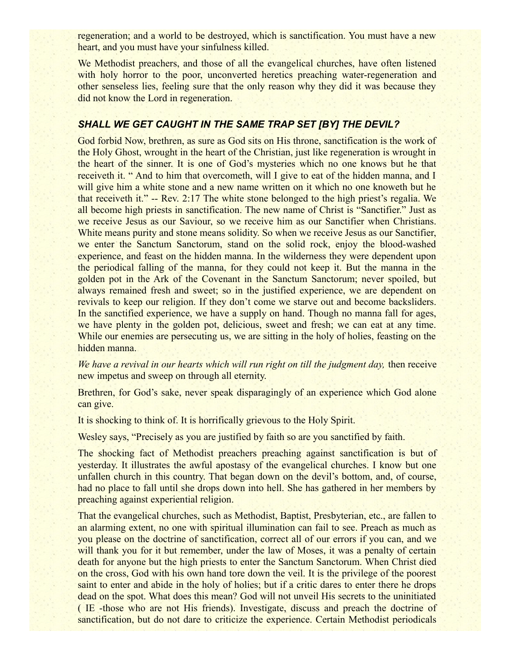regeneration; and a world to be destroyed, which is sanctification. You must have a new heart, and you must have your sinfulness killed.

We Methodist preachers, and those of all the evangelical churches, have often listened with holy horror to the poor, unconverted heretics preaching water-regeneration and other senseless lies, feeling sure that the only reason why they did it was because they did not know the Lord in regeneration.

## *SHALL WE GET CAUGHT IN THE SAME TRAP SET [BY] THE DEVIL?*

God forbid Now, brethren, as sure as God sits on His throne, sanctification is the work of the Holy Ghost, wrought in the heart of the Christian, just like regeneration is wrought in the heart of the sinner. It is one of God's mysteries which no one knows but he that receiveth it. " And to him that overcometh, will I give to eat of the hidden manna, and I will give him a white stone and a new name written on it which no one knoweth but he that receiveth it." -- Rev. 2:17 The white stone belonged to the high priest's regalia. We all become high priests in sanctification. The new name of Christ is "Sanctifier." Just as we receive Jesus as our Saviour, so we receive him as our Sanctifier when Christians. White means purity and stone means solidity. So when we receive Jesus as our Sanctifier, we enter the Sanctum Sanctorum, stand on the solid rock, enjoy the blood-washed experience, and feast on the hidden manna. In the wilderness they were dependent upon the periodical falling of the manna, for they could not keep it. But the manna in the golden pot in the Ark of the Covenant in the Sanctum Sanctorum; never spoiled, but always remained fresh and sweet; so in the justified experience, we are dependent on revivals to keep our religion. If they don't come we starve out and become backsliders. In the sanctified experience, we have a supply on hand. Though no manna fall for ages, we have plenty in the golden pot, delicious, sweet and fresh; we can eat at any time. While our enemies are persecuting us, we are sitting in the holy of holies, feasting on the hidden manna.

*We have a revival in our hearts which will run right on till the judgment day, then receive* new impetus and sweep on through all eternity.

Brethren, for God's sake, never speak disparagingly of an experience which God alone can give.

It is shocking to think of. It is horrifically grievous to the Holy Spirit.

Wesley says, "Precisely as you are justified by faith so are you sanctified by faith.

The shocking fact of Methodist preachers preaching against sanctification is but of yesterday. It illustrates the awful apostasy of the evangelical churches. I know but one unfallen church in this country. That began down on the devil's bottom, and, of course, had no place to fall until she drops down into hell. She has gathered in her members by preaching against experiential religion.

That the evangelical churches, such as Methodist, Baptist, Presbyterian, etc., are fallen to an alarming extent, no one with spiritual illumination can fail to see. Preach as much as you please on the doctrine of sanctification, correct all of our errors if you can, and we will thank you for it but remember, under the law of Moses, it was a penalty of certain death for anyone but the high priests to enter the Sanctum Sanctorum. When Christ died on the cross, God with his own hand tore down the veil. It is the privilege of the poorest saint to enter and abide in the holy of holies; but if a critic dares to enter there he drops dead on the spot. What does this mean? God will not unveil His secrets to the uninitiated ( IE -those who are not His friends). Investigate, discuss and preach the doctrine of sanctification, but do not dare to criticize the experience. Certain Methodist periodicals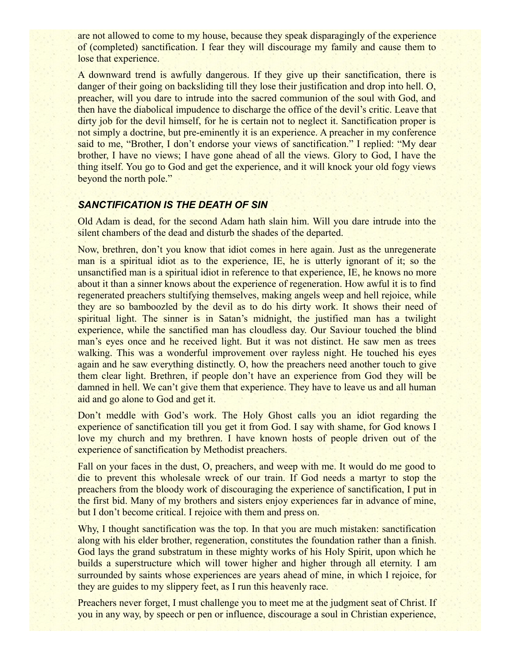are not allowed to come to my house, because they speak disparagingly of the experience of (completed) sanctification. I fear they will discourage my family and cause them to lose that experience.

A downward trend is awfully dangerous. If they give up their sanctification, there is danger of their going on backsliding till they lose their justification and drop into hell. O, preacher, will you dare to intrude into the sacred communion of the soul with God, and then have the diabolical impudence to discharge the office of the devil's critic. Leave that dirty job for the devil himself, for he is certain not to neglect it. Sanctification proper is not simply a doctrine, but pre-eminently it is an experience. A preacher in my conference said to me, "Brother, I don't endorse your views of sanctification." I replied: "My dear brother, I have no views; I have gone ahead of all the views. Glory to God, I have the thing itself. You go to God and get the experience, and it will knock your old fogy views beyond the north pole."

#### *SANCTIFICATION IS THE DEATH OF SIN*

Old Adam is dead, for the second Adam hath slain him. Will you dare intrude into the silent chambers of the dead and disturb the shades of the departed.

Now, brethren, don't you know that idiot comes in here again. Just as the unregenerate man is a spiritual idiot as to the experience, IE, he is utterly ignorant of it; so the unsanctified man is a spiritual idiot in reference to that experience, IE, he knows no more about it than a sinner knows about the experience of regeneration. How awful it is to find regenerated preachers stultifying themselves, making angels weep and hell rejoice, while they are so bamboozled by the devil as to do his dirty work. It shows their need of spiritual light. The sinner is in Satan's midnight, the justified man has a twilight experience, while the sanctified man has cloudless day. Our Saviour touched the blind man's eyes once and he received light. But it was not distinct. He saw men as trees walking. This was a wonderful improvement over rayless night. He touched his eyes again and he saw everything distinctly. O, how the preachers need another touch to give them clear light. Brethren, if people don't have an experience from God they will be damned in hell. We can't give them that experience. They have to leave us and all human aid and go alone to God and get it.

Don't meddle with God's work. The Holy Ghost calls you an idiot regarding the experience of sanctification till you get it from God. I say with shame, for God knows I love my church and my brethren. I have known hosts of people driven out of the experience of sanctification by Methodist preachers.

Fall on your faces in the dust, O, preachers, and weep with me. It would do me good to die to prevent this wholesale wreck of our train. If God needs a martyr to stop the preachers from the bloody work of discouraging the experience of sanctification, I put in the first bid. Many of my brothers and sisters enjoy experiences far in advance of mine, but I don't become critical. I rejoice with them and press on.

Why, I thought sanctification was the top. In that you are much mistaken: sanctification along with his elder brother, regeneration, constitutes the foundation rather than a finish. God lays the grand substratum in these mighty works of his Holy Spirit, upon which he builds a superstructure which will tower higher and higher through all eternity. I am surrounded by saints whose experiences are years ahead of mine, in which I rejoice, for they are guides to my slippery feet, as I run this heavenly race.

Preachers never forget, I must challenge you to meet me at the judgment seat of Christ. If you in any way, by speech or pen or influence, discourage a soul in Christian experience,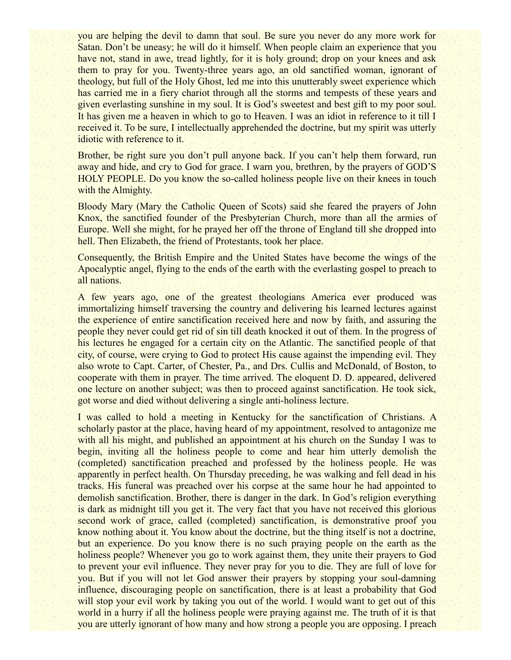you are helping the devil to damn that soul. Be sure you never do any more work for Satan. Don't be uneasy; he will do it himself. When people claim an experience that you have not, stand in awe, tread lightly, for it is holy ground; drop on your knees and ask them to pray for you. Twenty-three years ago, an old sanctified woman, ignorant of theology, but full of the Holy Ghost, led me into this unutterably sweet experience which has carried me in a fiery chariot through all the storms and tempests of these years and given everlasting sunshine in my soul. It is God's sweetest and best gift to my poor soul. It has given me a heaven in which to go to Heaven. I was an idiot in reference to it till I received it. To be sure, I intellectually apprehended the doctrine, but my spirit was utterly idiotic with reference to it.

Brother, be right sure you don't pull anyone back. If you can't help them forward, run away and hide, and cry to God for grace. I warn you, brethren, by the prayers of GOD'S HOLY PEOPLE. Do you know the so-called holiness people live on their knees in touch with the Almighty.

Bloody Mary (Mary the Catholic Queen of Scots) said she feared the prayers of John Knox, the sanctified founder of the Presbyterian Church, more than all the armies of Europe. Well she might, for he prayed her off the throne of England till she dropped into hell. Then Elizabeth, the friend of Protestants, took her place.

Consequently, the British Empire and the United States have become the wings of the Apocalyptic angel, flying to the ends of the earth with the everlasting gospel to preach to all nations.

A few years ago, one of the greatest theologians America ever produced was immortalizing himself traversing the country and delivering his learned lectures against the experience of entire sanctification received here and now by faith, and assuring the people they never could get rid of sin till death knocked it out of them. In the progress of his lectures he engaged for a certain city on the Atlantic. The sanctified people of that city, of course, were crying to God to protect His cause against the impending evil. They also wrote to Capt. Carter, of Chester, Pa., and Drs. Cullis and McDonald, of Boston, to cooperate with them in prayer. The time arrived. The eloquent D. D. appeared, delivered one lecture on another subject; was then to proceed against sanctification. He took sick, got worse and died without delivering a single anti-holiness lecture.

I was called to hold a meeting in Kentucky for the sanctification of Christians. A scholarly pastor at the place, having heard of my appointment, resolved to antagonize me with all his might, and published an appointment at his church on the Sunday I was to begin, inviting all the holiness people to come and hear him utterly demolish the (completed) sanctification preached and professed by the holiness people. He was apparently in perfect health. On Thursday preceding, he was walking and fell dead in his tracks. His funeral was preached over his corpse at the same hour he had appointed to demolish sanctification. Brother, there is danger in the dark. In God's religion everything is dark as midnight till you get it. The very fact that you have not received this glorious second work of grace, called (completed) sanctification, is demonstrative proof you know nothing about it. You know about the doctrine, but the thing itself is not a doctrine, but an experience. Do you know there is no such praying people on the earth as the holiness people? Whenever you go to work against them, they unite their prayers to God to prevent your evil influence. They never pray for you to die. They are full of love for you. But if you will not let God answer their prayers by stopping your soul-damning influence, discouraging people on sanctification, there is at least a probability that God will stop your evil work by taking you out of the world. I would want to get out of this world in a hurry if all the holiness people were praying against me. The truth of it is that you are utterly ignorant of how many and how strong a people you are opposing. I preach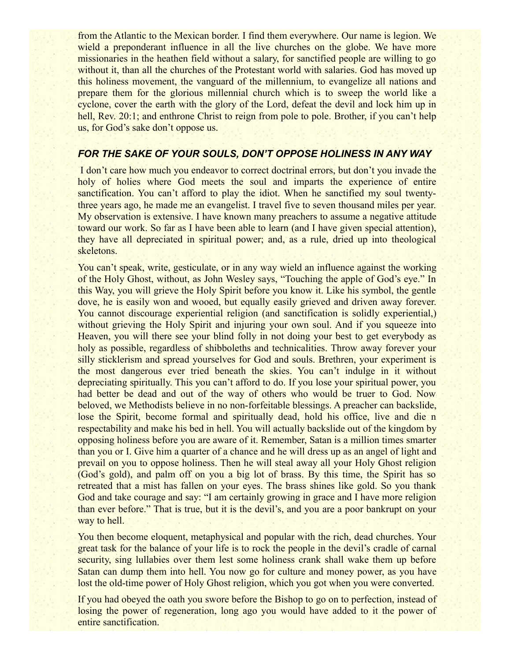from the Atlantic to the Mexican border. I find them everywhere. Our name is legion. We wield a preponderant influence in all the live churches on the globe. We have more missionaries in the heathen field without a salary, for sanctified people are willing to go without it, than all the churches of the Protestant world with salaries. God has moved up this holiness movement, the vanguard of the millennium, to evangelize all nations and prepare them for the glorious millennial church which is to sweep the world like a cyclone, cover the earth with the glory of the Lord, defeat the devil and lock him up in hell, Rev. 20:1; and enthrone Christ to reign from pole to pole. Brother, if you can't help us, for God's sake don't oppose us.

### *FOR THE SAKE OF YOUR SOULS, DON'T OPPOSE HOLINESS IN ANY WAY*

 I don't care how much you endeavor to correct doctrinal errors, but don't you invade the holy of holies where God meets the soul and imparts the experience of entire sanctification. You can't afford to play the idiot. When he sanctified my soul twentythree years ago, he made me an evangelist. I travel five to seven thousand miles per year. My observation is extensive. I have known many preachers to assume a negative attitude toward our work. So far as I have been able to learn (and I have given special attention), they have all depreciated in spiritual power; and, as a rule, dried up into theological skeletons.

You can't speak, write, gesticulate, or in any way wield an influence against the working of the Holy Ghost, without, as John Wesley says, "Touching the apple of God's eye." In this Way, you will grieve the Holy Spirit before you know it. Like his symbol, the gentle dove, he is easily won and wooed, but equally easily grieved and driven away forever. You cannot discourage experiential religion (and sanctification is solidly experiential,) without grieving the Holy Spirit and injuring your own soul. And if you squeeze into Heaven, you will there see your blind folly in not doing your best to get everybody as holy as possible, regardless of shibboleths and technicalities. Throw away forever your silly sticklerism and spread yourselves for God and souls. Brethren, your experiment is the most dangerous ever tried beneath the skies. You can't indulge in it without depreciating spiritually. This you can't afford to do. If you lose your spiritual power, you had better be dead and out of the way of others who would be truer to God. Now beloved, we Methodists believe in no non-forfeitable blessings. A preacher can backslide, lose the Spirit, become formal and spiritually dead, hold his office, live and die n respectability and make his bed in hell. You will actually backslide out of the kingdom by opposing holiness before you are aware of it. Remember, Satan is a million times smarter than you or I. Give him a quarter of a chance and he will dress up as an angel of light and prevail on you to oppose holiness. Then he will steal away all your Holy Ghost religion (God's gold), and palm off on you a big lot of brass. By this time, the Spirit has so retreated that a mist has fallen on your eyes. The brass shines like gold. So you thank God and take courage and say: "I am certainly growing in grace and I have more religion than ever before." That is true, but it is the devil's, and you are a poor bankrupt on your way to hell.

You then become eloquent, metaphysical and popular with the rich, dead churches. Your great task for the balance of your life is to rock the people in the devil's cradle of carnal security, sing lullabies over them lest some holiness crank shall wake them up before Satan can dump them into hell. You now go for culture and money power, as you have lost the old-time power of Holy Ghost religion, which you got when you were converted.

If you had obeyed the oath you swore before the Bishop to go on to perfection, instead of losing the power of regeneration, long ago you would have added to it the power of entire sanctification.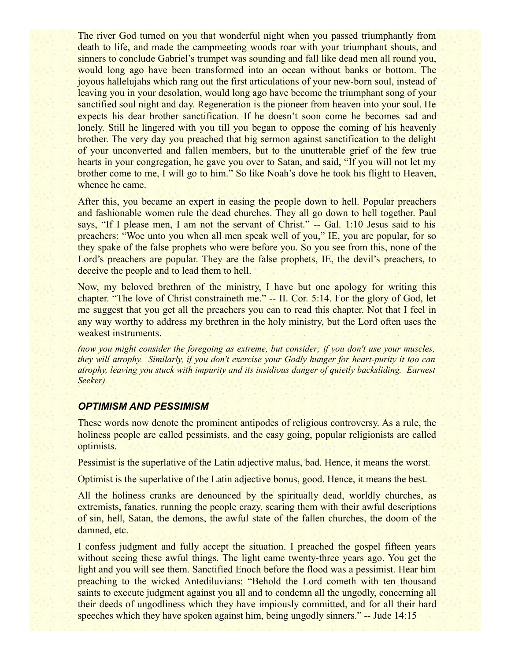The river God turned on you that wonderful night when you passed triumphantly from death to life, and made the campmeeting woods roar with your triumphant shouts, and sinners to conclude Gabriel's trumpet was sounding and fall like dead men all round you, would long ago have been transformed into an ocean without banks or bottom. The joyous hallelujahs which rang out the first articulations of your new-born soul, instead of leaving you in your desolation, would long ago have become the triumphant song of your sanctified soul night and day. Regeneration is the pioneer from heaven into your soul. He expects his dear brother sanctification. If he doesn't soon come he becomes sad and lonely. Still he lingered with you till you began to oppose the coming of his heavenly brother. The very day you preached that big sermon against sanctification to the delight of your unconverted and fallen members, but to the unutterable grief of the few true hearts in your congregation, he gave you over to Satan, and said, "If you will not let my brother come to me, I will go to him." So like Noah's dove he took his flight to Heaven, whence he came.

After this, you became an expert in easing the people down to hell. Popular preachers and fashionable women rule the dead churches. They all go down to hell together. Paul says, "If I please men, I am not the servant of Christ." -- Gal. 1:10 Jesus said to his preachers: "Woe unto you when all men speak well of you," IE, you are popular, for so they spake of the false prophets who were before you. So you see from this, none of the Lord's preachers are popular. They are the false prophets, IE, the devil's preachers, to deceive the people and to lead them to hell.

Now, my beloved brethren of the ministry, I have but one apology for writing this chapter. "The love of Christ constraineth me." -- II. Cor. 5:14. For the glory of God, let me suggest that you get all the preachers you can to read this chapter. Not that I feel in any way worthy to address my brethren in the holy ministry, but the Lord often uses the weakest instruments.

*(now you might consider the foregoing as extreme, but consider; if you don't use your muscles, they will atrophy. Similarly, if you don't exercise your Godly hunger for heart-purity it too can atrophy, leaving you stuck with impurity and its insidious danger of quietly backsliding. Earnest Seeker)*

#### *OPTIMISM AND PESSIMISM*

These words now denote the prominent antipodes of religious controversy. As a rule, the holiness people are called pessimists, and the easy going, popular religionists are called optimists.

Pessimist is the superlative of the Latin adjective malus, bad. Hence, it means the worst.

Optimist is the superlative of the Latin adjective bonus, good. Hence, it means the best.

All the holiness cranks are denounced by the spiritually dead, worldly churches, as extremists, fanatics, running the people crazy, scaring them with their awful descriptions of sin, hell, Satan, the demons, the awful state of the fallen churches, the doom of the damned, etc.

I confess judgment and fully accept the situation. I preached the gospel fifteen years without seeing these awful things. The light came twenty-three years ago. You get the light and you will see them. Sanctified Enoch before the flood was a pessimist. Hear him preaching to the wicked Antediluvians: "Behold the Lord cometh with ten thousand saints to execute judgment against you all and to condemn all the ungodly, concerning all their deeds of ungodliness which they have impiously committed, and for all their hard speeches which they have spoken against him, being ungodly sinners." -- Jude 14:15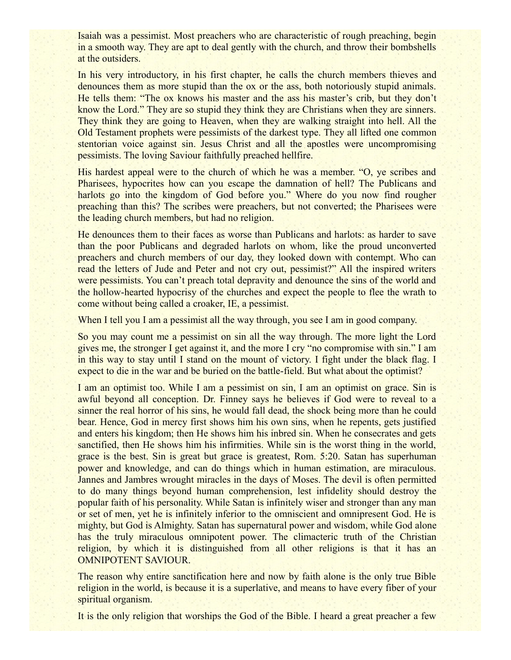Isaiah was a pessimist. Most preachers who are characteristic of rough preaching, begin in a smooth way. They are apt to deal gently with the church, and throw their bombshells at the outsiders.

In his very introductory, in his first chapter, he calls the church members thieves and denounces them as more stupid than the ox or the ass, both notoriously stupid animals. He tells them: "The ox knows his master and the ass his master's crib, but they don't know the Lord." They are so stupid they think they are Christians when they are sinners. They think they are going to Heaven, when they are walking straight into hell. All the Old Testament prophets were pessimists of the darkest type. They all lifted one common stentorian voice against sin. Jesus Christ and all the apostles were uncompromising pessimists. The loving Saviour faithfully preached hellfire.

His hardest appeal were to the church of which he was a member. "O, ye scribes and Pharisees, hypocrites how can you escape the damnation of hell? The Publicans and harlots go into the kingdom of God before you." Where do you now find rougher preaching than this? The scribes were preachers, but not converted; the Pharisees were the leading church members, but had no religion.

He denounces them to their faces as worse than Publicans and harlots: as harder to save than the poor Publicans and degraded harlots on whom, like the proud unconverted preachers and church members of our day, they looked down with contempt. Who can read the letters of Jude and Peter and not cry out, pessimist?" All the inspired writers were pessimists. You can't preach total depravity and denounce the sins of the world and the hollow-hearted hypocrisy of the churches and expect the people to flee the wrath to come without being called a croaker, IE, a pessimist.

When I tell you I am a pessimist all the way through, you see I am in good company.

So you may count me a pessimist on sin all the way through. The more light the Lord gives me, the stronger I get against it, and the more I cry "no compromise with sin." I am in this way to stay until I stand on the mount of victory. I fight under the black flag. I expect to die in the war and be buried on the battle-field. But what about the optimist?

I am an optimist too. While I am a pessimist on sin, I am an optimist on grace. Sin is awful beyond all conception. Dr. Finney says he believes if God were to reveal to a sinner the real horror of his sins, he would fall dead, the shock being more than he could bear. Hence, God in mercy first shows him his own sins, when he repents, gets justified and enters his kingdom; then He shows him his inbred sin. When he consecrates and gets sanctified, then He shows him his infirmities. While sin is the worst thing in the world, grace is the best. Sin is great but grace is greatest, Rom. 5:20. Satan has superhuman power and knowledge, and can do things which in human estimation, are miraculous. Jannes and Jambres wrought miracles in the days of Moses. The devil is often permitted to do many things beyond human comprehension, lest infidelity should destroy the popular faith of his personality. While Satan is infinitely wiser and stronger than any man or set of men, yet he is infinitely inferior to the omniscient and omnipresent God. He is mighty, but God is Almighty. Satan has supernatural power and wisdom, while God alone has the truly miraculous omnipotent power. The climacteric truth of the Christian religion, by which it is distinguished from all other religions is that it has an OMNIPOTENT SAVIOUR.

The reason why entire sanctification here and now by faith alone is the only true Bible religion in the world, is because it is a superlative, and means to have every fiber of your spiritual organism.

It is the only religion that worships the God of the Bible. I heard a great preacher a few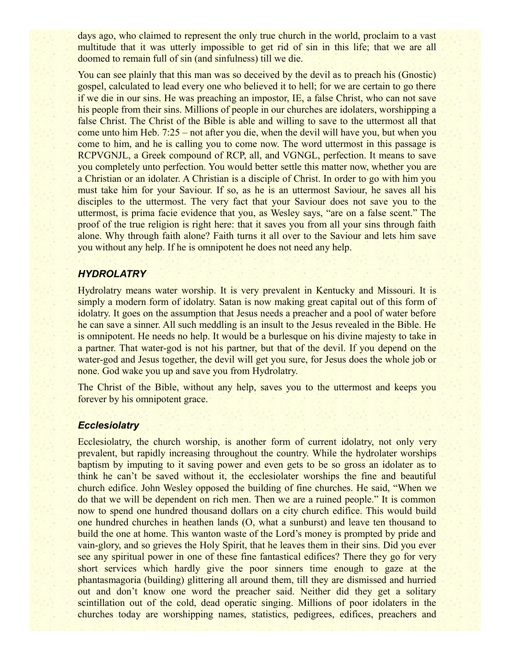days ago, who claimed to represent the only true church in the world, proclaim to a vast multitude that it was utterly impossible to get rid of sin in this life; that we are all doomed to remain full of sin (and sinfulness) till we die.

You can see plainly that this man was so deceived by the devil as to preach his (Gnostic) gospel, calculated to lead every one who believed it to hell; for we are certain to go there if we die in our sins. He was preaching an impostor, IE, a false Christ, who can not save his people from their sins. Millions of people in our churches are idolaters, worshipping a false Christ. The Christ of the Bible is able and willing to save to the uttermost all that come unto him Heb. 7:25 – not after you die, when the devil will have you, but when you come to him, and he is calling you to come now. The word uttermost in this passage is RCPVGNJL, a Greek compound of RCP, all, and VGNGL, perfection. It means to save you completely unto perfection. You would better settle this matter now, whether you are a Christian or an idolater. A Christian is a disciple of Christ. In order to go with him you must take him for your Saviour. If so, as he is an uttermost Saviour, he saves all his disciples to the uttermost. The very fact that your Saviour does not save you to the uttermost, is prima facie evidence that you, as Wesley says, "are on a false scent." The proof of the true religion is right here: that it saves you from all your sins through faith alone. Why through faith alone? Faith turns it all over to the Saviour and lets him save you without any help. If he is omnipotent he does not need any help.

### *HYDROLATRY*

Hydrolatry means water worship. It is very prevalent in Kentucky and Missouri. It is simply a modern form of idolatry. Satan is now making great capital out of this form of idolatry. It goes on the assumption that Jesus needs a preacher and a pool of water before he can save a sinner. All such meddling is an insult to the Jesus revealed in the Bible. He is omnipotent. He needs no help. It would be a burlesque on his divine majesty to take in a partner. That water-god is not his partner, but that of the devil. If you depend on the water-god and Jesus together, the devil will get you sure, for Jesus does the whole job or none. God wake you up and save you from Hydrolatry.

The Christ of the Bible, without any help, saves you to the uttermost and keeps you forever by his omnipotent grace.

#### *Ecclesiolatry*

Ecclesiolatry, the church worship, is another form of current idolatry, not only very prevalent, but rapidly increasing throughout the country. While the hydrolater worships baptism by imputing to it saving power and even gets to be so gross an idolater as to think he can't be saved without it, the ecclesiolater worships the fine and beautiful church edifice. John Wesley opposed the building of fine churches. He said, "When we do that we will be dependent on rich men. Then we are a ruined people." It is common now to spend one hundred thousand dollars on a city church edifice. This would build one hundred churches in heathen lands (O, what a sunburst) and leave ten thousand to build the one at home. This wanton waste of the Lord's money is prompted by pride and vain-glory, and so grieves the Holy Spirit, that he leaves them in their sins. Did you ever see any spiritual power in one of these fine fantastical edifices? There they go for very short services which hardly give the poor sinners time enough to gaze at the phantasmagoria (building) glittering all around them, till they are dismissed and hurried out and don't know one word the preacher said. Neither did they get a solitary scintillation out of the cold, dead operatic singing. Millions of poor idolaters in the churches today are worshipping names, statistics, pedigrees, edifices, preachers and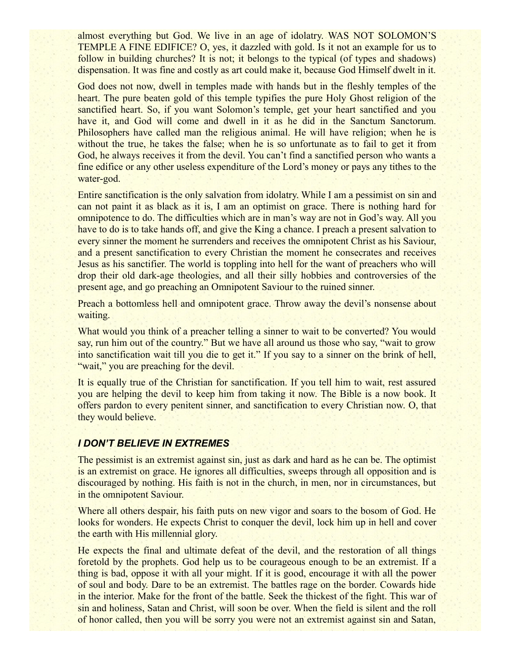almost everything but God. We live in an age of idolatry. WAS NOT SOLOMON'S TEMPLE A FINE EDIFICE? O, yes, it dazzled with gold. Is it not an example for us to follow in building churches? It is not; it belongs to the typical (of types and shadows) dispensation. It was fine and costly as art could make it, because God Himself dwelt in it.

God does not now, dwell in temples made with hands but in the fleshly temples of the heart. The pure beaten gold of this temple typifies the pure Holy Ghost religion of the sanctified heart. So, if you want Solomon's temple, get your heart sanctified and you have it, and God will come and dwell in it as he did in the Sanctum Sanctorum. Philosophers have called man the religious animal. He will have religion; when he is without the true, he takes the false; when he is so unfortunate as to fail to get it from God, he always receives it from the devil. You can't find a sanctified person who wants a fine edifice or any other useless expenditure of the Lord's money or pays any tithes to the water-god.

Entire sanctification is the only salvation from idolatry. While I am a pessimist on sin and can not paint it as black as it is, I am an optimist on grace. There is nothing hard for omnipotence to do. The difficulties which are in man's way are not in God's way. All you have to do is to take hands off, and give the King a chance. I preach a present salvation to every sinner the moment he surrenders and receives the omnipotent Christ as his Saviour, and a present sanctification to every Christian the moment he consecrates and receives Jesus as his sanctifier. The world is toppling into hell for the want of preachers who will drop their old dark-age theologies, and all their silly hobbies and controversies of the present age, and go preaching an Omnipotent Saviour to the ruined sinner.

Preach a bottomless hell and omnipotent grace. Throw away the devil's nonsense about waiting.

What would you think of a preacher telling a sinner to wait to be converted? You would say, run him out of the country." But we have all around us those who say, "wait to grow into sanctification wait till you die to get it." If you say to a sinner on the brink of hell, "wait," you are preaching for the devil.

It is equally true of the Christian for sanctification. If you tell him to wait, rest assured you are helping the devil to keep him from taking it now. The Bible is a now book. It offers pardon to every penitent sinner, and sanctification to every Christian now. O, that they would believe.

#### *I DON'T BELIEVE IN EXTREMES*

The pessimist is an extremist against sin, just as dark and hard as he can be. The optimist is an extremist on grace. He ignores all difficulties, sweeps through all opposition and is discouraged by nothing. His faith is not in the church, in men, nor in circumstances, but in the omnipotent Saviour.

Where all others despair, his faith puts on new vigor and soars to the bosom of God. He looks for wonders. He expects Christ to conquer the devil, lock him up in hell and cover the earth with His millennial glory.

He expects the final and ultimate defeat of the devil, and the restoration of all things foretold by the prophets. God help us to be courageous enough to be an extremist. If a thing is bad, oppose it with all your might. If it is good, encourage it with all the power of soul and body. Dare to be an extremist. The battles rage on the border. Cowards hide in the interior. Make for the front of the battle. Seek the thickest of the fight. This war of sin and holiness, Satan and Christ, will soon be over. When the field is silent and the roll of honor called, then you will be sorry you were not an extremist against sin and Satan,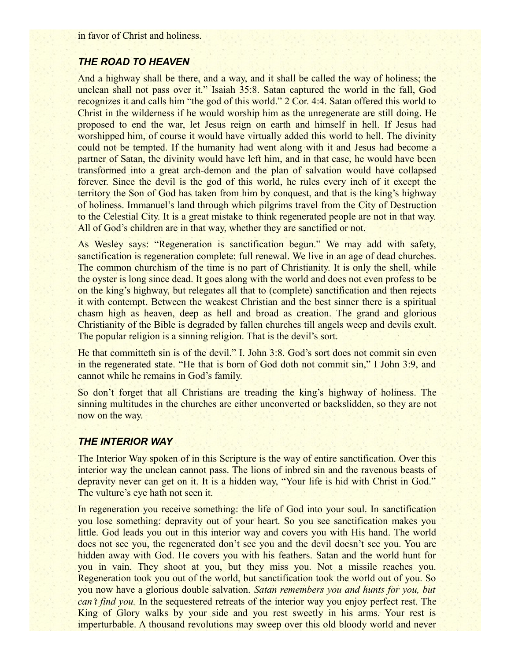in favor of Christ and holiness.

## *THE ROAD TO HEAVEN*

And a highway shall be there, and a way, and it shall be called the way of holiness; the unclean shall not pass over it." Isaiah 35:8. Satan captured the world in the fall, God recognizes it and calls him "the god of this world." 2 Cor. 4:4. Satan offered this world to Christ in the wilderness if he would worship him as the unregenerate are still doing. He proposed to end the war, let Jesus reign on earth and himself in hell. If Jesus had worshipped him, of course it would have virtually added this world to hell. The divinity could not be tempted. If the humanity had went along with it and Jesus had become a partner of Satan, the divinity would have left him, and in that case, he would have been transformed into a great arch-demon and the plan of salvation would have collapsed forever. Since the devil is the god of this world, he rules every inch of it except the territory the Son of God has taken from him by conquest, and that is the king's highway of holiness. Immanuel's land through which pilgrims travel from the City of Destruction to the Celestial City. It is a great mistake to think regenerated people are not in that way. All of God's children are in that way, whether they are sanctified or not.

As Wesley says: "Regeneration is sanctification begun." We may add with safety, sanctification is regeneration complete: full renewal. We live in an age of dead churches. The common churchism of the time is no part of Christianity. It is only the shell, while the oyster is long since dead. It goes along with the world and does not even profess to be on the king's highway, but relegates all that to (complete) sanctification and then rejects it with contempt. Between the weakest Christian and the best sinner there is a spiritual chasm high as heaven, deep as hell and broad as creation. The grand and glorious Christianity of the Bible is degraded by fallen churches till angels weep and devils exult. The popular religion is a sinning religion. That is the devil's sort.

He that committeth sin is of the devil." I. John 3:8. God's sort does not commit sin even in the regenerated state. "He that is born of God doth not commit sin," I John 3:9, and cannot while he remains in God's family.

So don't forget that all Christians are treading the king's highway of holiness. The sinning multitudes in the churches are either unconverted or backslidden, so they are not now on the way.

### *THE INTERIOR WAY*

The Interior Way spoken of in this Scripture is the way of entire sanctification. Over this interior way the unclean cannot pass. The lions of inbred sin and the ravenous beasts of depravity never can get on it. It is a hidden way, "Your life is hid with Christ in God." The vulture's eye hath not seen it.

In regeneration you receive something: the life of God into your soul. In sanctification you lose something: depravity out of your heart. So you see sanctification makes you little. God leads you out in this interior way and covers you with His hand. The world does not see you, the regenerated don't see you and the devil doesn't see you. You are hidden away with God. He covers you with his feathers. Satan and the world hunt for you in vain. They shoot at you, but they miss you. Not a missile reaches you. Regeneration took you out of the world, but sanctification took the world out of you. So you now have a glorious double salvation. *Satan remembers you and hunts for you, but can't find you.* In the sequestered retreats of the interior way you enjoy perfect rest. The King of Glory walks by your side and you rest sweetly in his arms. Your rest is imperturbable. A thousand revolutions may sweep over this old bloody world and never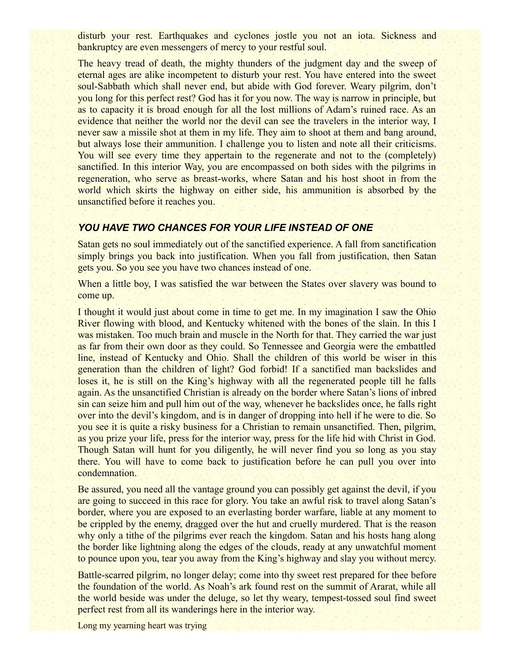disturb your rest. Earthquakes and cyclones jostle you not an iota. Sickness and bankruptcy are even messengers of mercy to your restful soul.

The heavy tread of death, the mighty thunders of the judgment day and the sweep of eternal ages are alike incompetent to disturb your rest. You have entered into the sweet soul-Sabbath which shall never end, but abide with God forever. Weary pilgrim, don't you long for this perfect rest? God has it for you now. The way is narrow in principle, but as to capacity it is broad enough for all the lost millions of Adam's ruined race. As an evidence that neither the world nor the devil can see the travelers in the interior way, I never saw a missile shot at them in my life. They aim to shoot at them and bang around, but always lose their ammunition. I challenge you to listen and note all their criticisms. You will see every time they appertain to the regenerate and not to the (completely) sanctified. In this interior Way, you are encompassed on both sides with the pilgrims in regeneration, who serve as breast-works, where Satan and his host shoot in from the world which skirts the highway on either side, his ammunition is absorbed by the unsanctified before it reaches you.

### *YOU HAVE TWO CHANCES FOR YOUR LIFE INSTEAD OF ONE*

Satan gets no soul immediately out of the sanctified experience. A fall from sanctification simply brings you back into justification. When you fall from justification, then Satan gets you. So you see you have two chances instead of one.

When a little boy, I was satisfied the war between the States over slavery was bound to come up.

I thought it would just about come in time to get me. In my imagination I saw the Ohio River flowing with blood, and Kentucky whitened with the bones of the slain. In this I was mistaken. Too much brain and muscle in the North for that. They carried the war just as far from their own door as they could. So Tennessee and Georgia were the embattled line, instead of Kentucky and Ohio. Shall the children of this world be wiser in this generation than the children of light? God forbid! If a sanctified man backslides and loses it, he is still on the King's highway with all the regenerated people till he falls again. As the unsanctified Christian is already on the border where Satan's lions of inbred sin can seize him and pull him out of the way, whenever he backslides once, he falls right over into the devil's kingdom, and is in danger of dropping into hell if he were to die. So you see it is quite a risky business for a Christian to remain unsanctified. Then, pilgrim, as you prize your life, press for the interior way, press for the life hid with Christ in God. Though Satan will hunt for you diligently, he will never find you so long as you stay there. You will have to come back to justification before he can pull you over into condemnation.

Be assured, you need all the vantage ground you can possibly get against the devil, if you are going to succeed in this race for glory. You take an awful risk to travel along Satan's border, where you are exposed to an everlasting border warfare, liable at any moment to be crippled by the enemy, dragged over the hut and cruelly murdered. That is the reason why only a tithe of the pilgrims ever reach the kingdom. Satan and his hosts hang along the border like lightning along the edges of the clouds, ready at any unwatchful moment to pounce upon you, tear you away from the King's highway and slay you without mercy.

Battle-scarred pilgrim, no longer delay; come into thy sweet rest prepared for thee before the foundation of the world. As Noah's ark found rest on the summit of Ararat, while all the world beside was under the deluge, so let thy weary, tempest-tossed soul find sweet perfect rest from all its wanderings here in the interior way.

Long my yearning heart was trying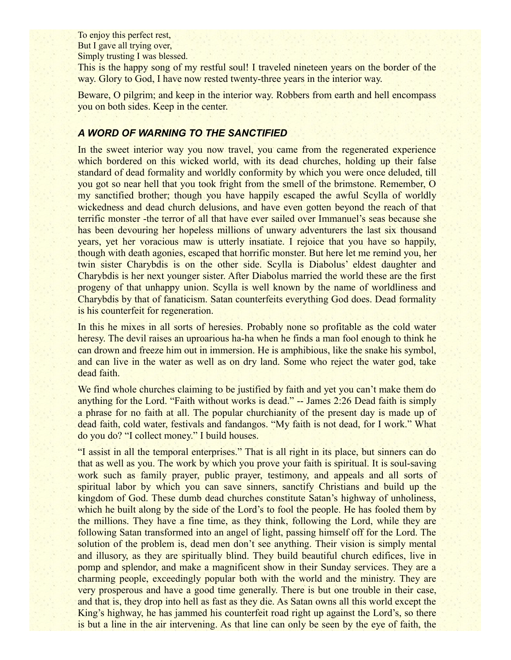To enjoy this perfect rest, But I gave all trying over, Simply trusting I was blessed.

This is the happy song of my restful soul! I traveled nineteen years on the border of the way. Glory to God, I have now rested twenty-three years in the interior way.

Beware, O pilgrim; and keep in the interior way. Robbers from earth and hell encompass you on both sides. Keep in the center.

### *A WORD OF WARNING TO THE SANCTIFIED*

In the sweet interior way you now travel, you came from the regenerated experience which bordered on this wicked world, with its dead churches, holding up their false standard of dead formality and worldly conformity by which you were once deluded, till you got so near hell that you took fright from the smell of the brimstone. Remember, O my sanctified brother; though you have happily escaped the awful Scylla of worldly wickedness and dead church delusions, and have even gotten beyond the reach of that terrific monster -the terror of all that have ever sailed over Immanuel's seas because she has been devouring her hopeless millions of unwary adventurers the last six thousand years, yet her voracious maw is utterly insatiate. I rejoice that you have so happily, though with death agonies, escaped that horrific monster. But here let me remind you, her twin sister Charybdis is on the other side. Scylla is Diabolus' eldest daughter and Charybdis is her next younger sister. After Diabolus married the world these are the first progeny of that unhappy union. Scylla is well known by the name of worldliness and Charybdis by that of fanaticism. Satan counterfeits everything God does. Dead formality is his counterfeit for regeneration.

In this he mixes in all sorts of heresies. Probably none so profitable as the cold water heresy. The devil raises an uproarious ha-ha when he finds a man fool enough to think he can drown and freeze him out in immersion. He is amphibious, like the snake his symbol, and can live in the water as well as on dry land. Some who reject the water god, take dead faith.

We find whole churches claiming to be justified by faith and yet you can't make them do anything for the Lord. "Faith without works is dead." -- James 2:26 Dead faith is simply a phrase for no faith at all. The popular churchianity of the present day is made up of dead faith, cold water, festivals and fandangos. "My faith is not dead, for I work." What do you do? "I collect money." I build houses.

"I assist in all the temporal enterprises." That is all right in its place, but sinners can do that as well as you. The work by which you prove your faith is spiritual. It is soul-saving work such as family prayer, public prayer, testimony, and appeals and all sorts of spiritual labor by which you can save sinners, sanctify Christians and build up the kingdom of God. These dumb dead churches constitute Satan's highway of unholiness, which he built along by the side of the Lord's to fool the people. He has fooled them by the millions. They have a fine time, as they think, following the Lord, while they are following Satan transformed into an angel of light, passing himself off for the Lord. The solution of the problem is, dead men don't see anything. Their vision is simply mental and illusory, as they are spiritually blind. They build beautiful church edifices, live in pomp and splendor, and make a magnificent show in their Sunday services. They are a charming people, exceedingly popular both with the world and the ministry. They are very prosperous and have a good time generally. There is but one trouble in their case, and that is, they drop into hell as fast as they die. As Satan owns all this world except the King's highway, he has jammed his counterfeit road right up against the Lord's, so there is but a line in the air intervening. As that line can only be seen by the eye of faith, the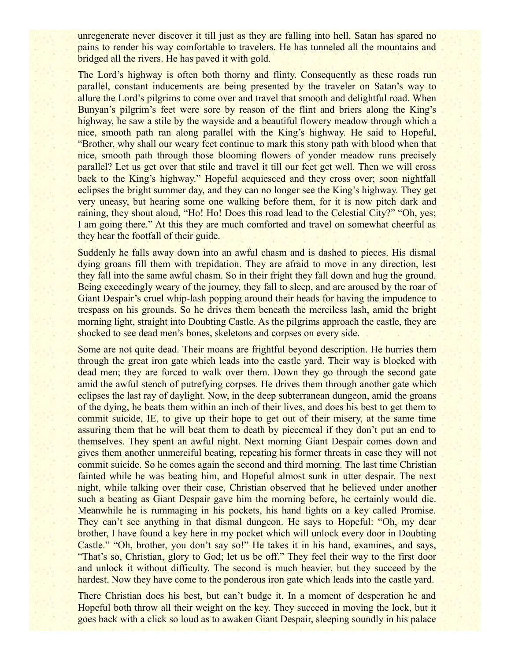unregenerate never discover it till just as they are falling into hell. Satan has spared no pains to render his way comfortable to travelers. He has tunneled all the mountains and bridged all the rivers. He has paved it with gold.

The Lord's highway is often both thorny and flinty. Consequently as these roads run parallel, constant inducements are being presented by the traveler on Satan's way to allure the Lord's pilgrims to come over and travel that smooth and delightful road. When Bunyan's pilgrim's feet were sore by reason of the flint and briers along the King's highway, he saw a stile by the wayside and a beautiful flowery meadow through which a nice, smooth path ran along parallel with the King's highway. He said to Hopeful, "Brother, why shall our weary feet continue to mark this stony path with blood when that nice, smooth path through those blooming flowers of yonder meadow runs precisely parallel? Let us get over that stile and travel it till our feet get well. Then we will cross back to the King's highway." Hopeful acquiesced and they cross over; soon nightfall eclipses the bright summer day, and they can no longer see the King's highway. They get very uneasy, but hearing some one walking before them, for it is now pitch dark and raining, they shout aloud, "Ho! Ho! Does this road lead to the Celestial City?" "Oh, yes; I am going there." At this they are much comforted and travel on somewhat cheerful as they hear the footfall of their guide.

Suddenly he falls away down into an awful chasm and is dashed to pieces. His dismal dying groans fill them with trepidation. They are afraid to move in any direction, lest they fall into the same awful chasm. So in their fright they fall down and hug the ground. Being exceedingly weary of the journey, they fall to sleep, and are aroused by the roar of Giant Despair's cruel whip-lash popping around their heads for having the impudence to trespass on his grounds. So he drives them beneath the merciless lash, amid the bright morning light, straight into Doubting Castle. As the pilgrims approach the castle, they are shocked to see dead men's bones, skeletons and corpses on every side.

Some are not quite dead. Their moans are frightful beyond description. He hurries them through the great iron gate which leads into the castle yard. Their way is blocked with dead men; they are forced to walk over them. Down they go through the second gate amid the awful stench of putrefying corpses. He drives them through another gate which eclipses the last ray of daylight. Now, in the deep subterranean dungeon, amid the groans of the dying, he beats them within an inch of their lives, and does his best to get them to commit suicide, IE, to give up their hope to get out of their misery, at the same time assuring them that he will beat them to death by piecemeal if they don't put an end to themselves. They spent an awful night. Next morning Giant Despair comes down and gives them another unmerciful beating, repeating his former threats in case they will not commit suicide. So he comes again the second and third morning. The last time Christian fainted while he was beating him, and Hopeful almost sunk in utter despair. The next night, while talking over their case, Christian observed that he believed under another such a beating as Giant Despair gave him the morning before, he certainly would die. Meanwhile he is rummaging in his pockets, his hand lights on a key called Promise. They can't see anything in that dismal dungeon. He says to Hopeful: "Oh, my dear brother, I have found a key here in my pocket which will unlock every door in Doubting Castle." "Oh, brother, you don't say so!" He takes it in his hand, examines, and says, "That's so, Christian, glory to God; let us be off." They feel their way to the first door and unlock it without difficulty. The second is much heavier, but they succeed by the hardest. Now they have come to the ponderous iron gate which leads into the castle yard.

There Christian does his best, but can't budge it. In a moment of desperation he and Hopeful both throw all their weight on the key. They succeed in moving the lock, but it goes back with a click so loud as to awaken Giant Despair, sleeping soundly in his palace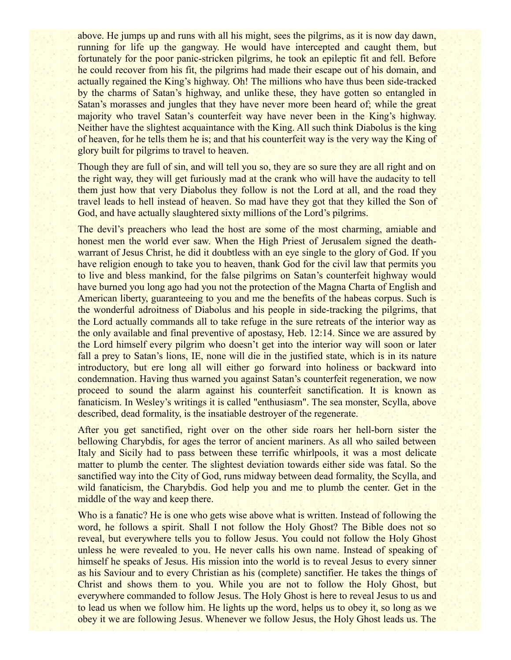above. He jumps up and runs with all his might, sees the pilgrims, as it is now day dawn, running for life up the gangway. He would have intercepted and caught them, but fortunately for the poor panic-stricken pilgrims, he took an epileptic fit and fell. Before he could recover from his fit, the pilgrims had made their escape out of his domain, and actually regained the King's highway. Oh! The millions who have thus been side-tracked by the charms of Satan's highway, and unlike these, they have gotten so entangled in Satan's morasses and jungles that they have never more been heard of; while the great majority who travel Satan's counterfeit way have never been in the King's highway. Neither have the slightest acquaintance with the King. All such think Diabolus is the king of heaven, for he tells them he is; and that his counterfeit way is the very way the King of glory built for pilgrims to travel to heaven.

Though they are full of sin, and will tell you so, they are so sure they are all right and on the right way, they will get furiously mad at the crank who will have the audacity to tell them just how that very Diabolus they follow is not the Lord at all, and the road they travel leads to hell instead of heaven. So mad have they got that they killed the Son of God, and have actually slaughtered sixty millions of the Lord's pilgrims.

The devil's preachers who lead the host are some of the most charming, amiable and honest men the world ever saw. When the High Priest of Jerusalem signed the deathwarrant of Jesus Christ, he did it doubtless with an eye single to the glory of God. If you have religion enough to take you to heaven, thank God for the civil law that permits you to live and bless mankind, for the false pilgrims on Satan's counterfeit highway would have burned you long ago had you not the protection of the Magna Charta of English and American liberty, guaranteeing to you and me the benefits of the habeas corpus. Such is the wonderful adroitness of Diabolus and his people in side-tracking the pilgrims, that the Lord actually commands all to take refuge in the sure retreats of the interior way as the only available and final preventive of apostasy, Heb. 12:14. Since we are assured by the Lord himself every pilgrim who doesn't get into the interior way will soon or later fall a prey to Satan's lions, IE, none will die in the justified state, which is in its nature introductory, but ere long all will either go forward into holiness or backward into condemnation. Having thus warned you against Satan's counterfeit regeneration, we now proceed to sound the alarm against his counterfeit sanctification. It is known as fanaticism. In Wesley's writings it is called "enthusiasm". The sea monster, Scylla, above described, dead formality, is the insatiable destroyer of the regenerate.

After you get sanctified, right over on the other side roars her hell-born sister the bellowing Charybdis, for ages the terror of ancient mariners. As all who sailed between Italy and Sicily had to pass between these terrific whirlpools, it was a most delicate matter to plumb the center. The slightest deviation towards either side was fatal. So the sanctified way into the City of God, runs midway between dead formality, the Scylla, and wild fanaticism, the Charybdis. God help you and me to plumb the center. Get in the middle of the way and keep there.

Who is a fanatic? He is one who gets wise above what is written. Instead of following the word, he follows a spirit. Shall I not follow the Holy Ghost? The Bible does not so reveal, but everywhere tells you to follow Jesus. You could not follow the Holy Ghost unless he were revealed to you. He never calls his own name. Instead of speaking of himself he speaks of Jesus. His mission into the world is to reveal Jesus to every sinner as his Saviour and to every Christian as his (complete) sanctifier. He takes the things of Christ and shows them to you. While you are not to follow the Holy Ghost, but everywhere commanded to follow Jesus. The Holy Ghost is here to reveal Jesus to us and to lead us when we follow him. He lights up the word, helps us to obey it, so long as we obey it we are following Jesus. Whenever we follow Jesus, the Holy Ghost leads us. The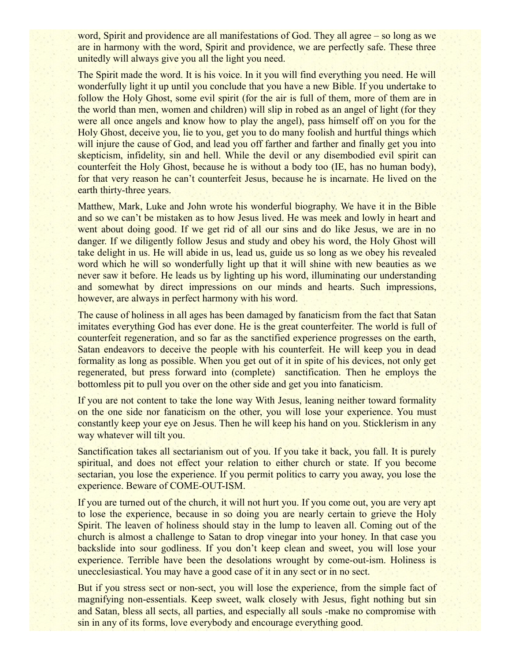word, Spirit and providence are all manifestations of God. They all agree – so long as we are in harmony with the word, Spirit and providence, we are perfectly safe. These three unitedly will always give you all the light you need.

The Spirit made the word. It is his voice. In it you will find everything you need. He will wonderfully light it up until you conclude that you have a new Bible. If you undertake to follow the Holy Ghost, some evil spirit (for the air is full of them, more of them are in the world than men, women and children) will slip in robed as an angel of light (for they were all once angels and know how to play the angel), pass himself off on you for the Holy Ghost, deceive you, lie to you, get you to do many foolish and hurtful things which will injure the cause of God, and lead you off farther and farther and finally get you into skepticism, infidelity, sin and hell. While the devil or any disembodied evil spirit can counterfeit the Holy Ghost, because he is without a body too (IE, has no human body), for that very reason he can't counterfeit Jesus, because he is incarnate. He lived on the earth thirty-three years.

Matthew, Mark, Luke and John wrote his wonderful biography. We have it in the Bible and so we can't be mistaken as to how Jesus lived. He was meek and lowly in heart and went about doing good. If we get rid of all our sins and do like Jesus, we are in no danger. If we diligently follow Jesus and study and obey his word, the Holy Ghost will take delight in us. He will abide in us, lead us, guide us so long as we obey his revealed word which he will so wonderfully light up that it will shine with new beauties as we never saw it before. He leads us by lighting up his word, illuminating our understanding and somewhat by direct impressions on our minds and hearts. Such impressions, however, are always in perfect harmony with his word.

The cause of holiness in all ages has been damaged by fanaticism from the fact that Satan imitates everything God has ever done. He is the great counterfeiter. The world is full of counterfeit regeneration, and so far as the sanctified experience progresses on the earth, Satan endeavors to deceive the people with his counterfeit. He will keep you in dead formality as long as possible. When you get out of it in spite of his devices, not only get regenerated, but press forward into (complete) sanctification. Then he employs the bottomless pit to pull you over on the other side and get you into fanaticism.

If you are not content to take the lone way With Jesus, leaning neither toward formality on the one side nor fanaticism on the other, you will lose your experience. You must constantly keep your eye on Jesus. Then he will keep his hand on you. Sticklerism in any way whatever will tilt you.

Sanctification takes all sectarianism out of you. If you take it back, you fall. It is purely spiritual, and does not effect your relation to either church or state. If you become sectarian, you lose the experience. If you permit politics to carry you away, you lose the experience. Beware of COME-OUT-ISM.

If you are turned out of the church, it will not hurt you. If you come out, you are very apt to lose the experience, because in so doing you are nearly certain to grieve the Holy Spirit. The leaven of holiness should stay in the lump to leaven all. Coming out of the church is almost a challenge to Satan to drop vinegar into your honey. In that case you backslide into sour godliness. If you don't keep clean and sweet, you will lose your experience. Terrible have been the desolations wrought by come-out-ism. Holiness is unecclesiastical. You may have a good case of it in any sect or in no sect.

But if you stress sect or non-sect, you will lose the experience, from the simple fact of magnifying non-essentials. Keep sweet, walk closely with Jesus, fight nothing but sin and Satan, bless all sects, all parties, and especially all souls -make no compromise with sin in any of its forms, love everybody and encourage everything good.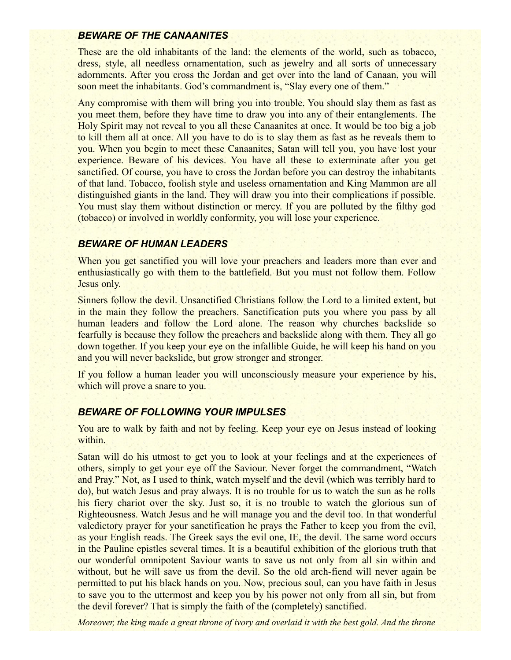### *BEWARE OF THE CANAANITES*

These are the old inhabitants of the land: the elements of the world, such as tobacco, dress, style, all needless ornamentation, such as jewelry and all sorts of unnecessary adornments. After you cross the Jordan and get over into the land of Canaan, you will soon meet the inhabitants. God's commandment is, "Slay every one of them."

Any compromise with them will bring you into trouble. You should slay them as fast as you meet them, before they have time to draw you into any of their entanglements. The Holy Spirit may not reveal to you all these Canaanites at once. It would be too big a job to kill them all at once. All you have to do is to slay them as fast as he reveals them to you. When you begin to meet these Canaanites, Satan will tell you, you have lost your experience. Beware of his devices. You have all these to exterminate after you get sanctified. Of course, you have to cross the Jordan before you can destroy the inhabitants of that land. Tobacco, foolish style and useless ornamentation and King Mammon are all distinguished giants in the land. They will draw you into their complications if possible. You must slay them without distinction or mercy. If you are polluted by the filthy god (tobacco) or involved in worldly conformity, you will lose your experience.

### *BEWARE OF HUMAN LEADERS*

When you get sanctified you will love your preachers and leaders more than ever and enthusiastically go with them to the battlefield. But you must not follow them. Follow Jesus only.

Sinners follow the devil. Unsanctified Christians follow the Lord to a limited extent, but in the main they follow the preachers. Sanctification puts you where you pass by all human leaders and follow the Lord alone. The reason why churches backslide so fearfully is because they follow the preachers and backslide along with them. They all go down together. If you keep your eye on the infallible Guide, he will keep his hand on you and you will never backslide, but grow stronger and stronger.

If you follow a human leader you will unconsciously measure your experience by his, which will prove a snare to you.

#### *BEWARE OF FOLLOWING YOUR IMPULSES*

You are to walk by faith and not by feeling. Keep your eye on Jesus instead of looking within.

Satan will do his utmost to get you to look at your feelings and at the experiences of others, simply to get your eye off the Saviour. Never forget the commandment, "Watch and Pray." Not, as I used to think, watch myself and the devil (which was terribly hard to do), but watch Jesus and pray always. It is no trouble for us to watch the sun as he rolls his fiery chariot over the sky. Just so, it is no trouble to watch the glorious sun of Righteousness. Watch Jesus and he will manage you and the devil too. In that wonderful valedictory prayer for your sanctification he prays the Father to keep you from the evil, as your English reads. The Greek says the evil one, IE, the devil. The same word occurs in the Pauline epistles several times. It is a beautiful exhibition of the glorious truth that our wonderful omnipotent Saviour wants to save us not only from all sin within and without, but he will save us from the devil. So the old arch-fiend will never again be permitted to put his black hands on you. Now, precious soul, can you have faith in Jesus to save you to the uttermost and keep you by his power not only from all sin, but from the devil forever? That is simply the faith of the (completely) sanctified.

*Moreover, the king made a great throne of ivory and overlaid it with the best gold. And the throne*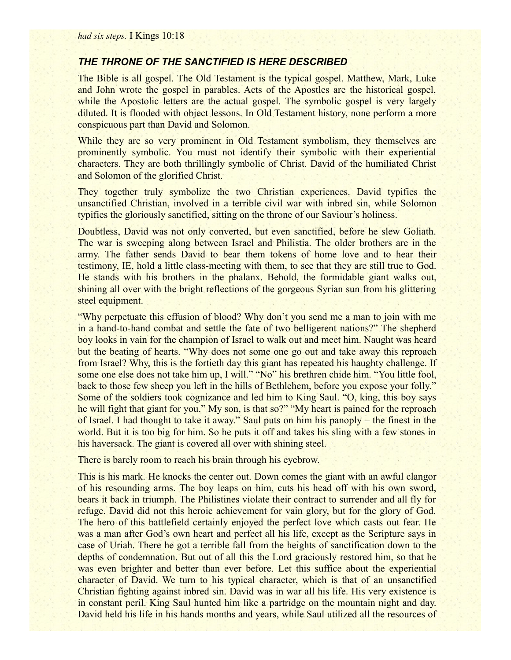### *THE THRONE OF THE SANCTIFIED IS HERE DESCRIBED*

The Bible is all gospel. The Old Testament is the typical gospel. Matthew, Mark, Luke and John wrote the gospel in parables. Acts of the Apostles are the historical gospel, while the Apostolic letters are the actual gospel. The symbolic gospel is very largely diluted. It is flooded with object lessons. In Old Testament history, none perform a more conspicuous part than David and Solomon.

While they are so very prominent in Old Testament symbolism, they themselves are prominently symbolic. You must not identify their symbolic with their experiential characters. They are both thrillingly symbolic of Christ. David of the humiliated Christ and Solomon of the glorified Christ.

They together truly symbolize the two Christian experiences. David typifies the unsanctified Christian, involved in a terrible civil war with inbred sin, while Solomon typifies the gloriously sanctified, sitting on the throne of our Saviour's holiness.

Doubtless, David was not only converted, but even sanctified, before he slew Goliath. The war is sweeping along between Israel and Philistia. The older brothers are in the army. The father sends David to bear them tokens of home love and to hear their testimony, IE, hold a little class-meeting with them, to see that they are still true to God. He stands with his brothers in the phalanx. Behold, the formidable giant walks out, shining all over with the bright reflections of the gorgeous Syrian sun from his glittering steel equipment.

"Why perpetuate this effusion of blood? Why don't you send me a man to join with me in a hand-to-hand combat and settle the fate of two belligerent nations?" The shepherd boy looks in vain for the champion of Israel to walk out and meet him. Naught was heard but the beating of hearts. "Why does not some one go out and take away this reproach from Israel? Why, this is the fortieth day this giant has repeated his haughty challenge. If some one else does not take him up, I will." "No" his brethren chide him. "You little fool, back to those few sheep you left in the hills of Bethlehem, before you expose your folly." Some of the soldiers took cognizance and led him to King Saul. "O, king, this boy says he will fight that giant for you." My son, is that so?" "My heart is pained for the reproach of Israel. I had thought to take it away." Saul puts on him his panoply – the finest in the world. But it is too big for him. So he puts it off and takes his sling with a few stones in his haversack. The giant is covered all over with shining steel.

There is barely room to reach his brain through his eyebrow.

This is his mark. He knocks the center out. Down comes the giant with an awful clangor of his resounding arms. The boy leaps on him, cuts his head off with his own sword, bears it back in triumph. The Philistines violate their contract to surrender and all fly for refuge. David did not this heroic achievement for vain glory, but for the glory of God. The hero of this battlefield certainly enjoyed the perfect love which casts out fear. He was a man after God's own heart and perfect all his life, except as the Scripture says in case of Uriah. There he got a terrible fall from the heights of sanctification down to the depths of condemnation. But out of all this the Lord graciously restored him, so that he was even brighter and better than ever before. Let this suffice about the experiential character of David. We turn to his typical character, which is that of an unsanctified Christian fighting against inbred sin. David was in war all his life. His very existence is in constant peril. King Saul hunted him like a partridge on the mountain night and day. David held his life in his hands months and years, while Saul utilized all the resources of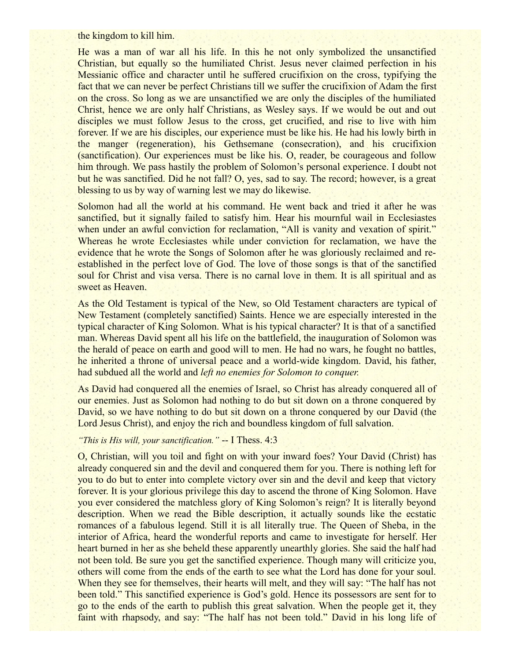the kingdom to kill him.

He was a man of war all his life. In this he not only symbolized the unsanctified Christian, but equally so the humiliated Christ. Jesus never claimed perfection in his Messianic office and character until he suffered crucifixion on the cross, typifying the fact that we can never be perfect Christians till we suffer the crucifixion of Adam the first on the cross. So long as we are unsanctified we are only the disciples of the humiliated Christ, hence we are only half Christians, as Wesley says. If we would be out and out disciples we must follow Jesus to the cross, get crucified, and rise to live with him forever. If we are his disciples, our experience must be like his. He had his lowly birth in the manger (regeneration), his Gethsemane (consecration), and his crucifixion (sanctification). Our experiences must be like his. O, reader, be courageous and follow him through. We pass hastily the problem of Solomon's personal experience. I doubt not but he was sanctified. Did he not fall? O, yes, sad to say. The record; however, is a great blessing to us by way of warning lest we may do likewise.

Solomon had all the world at his command. He went back and tried it after he was sanctified, but it signally failed to satisfy him. Hear his mournful wail in Ecclesiastes when under an awful conviction for reclamation, "All is vanity and vexation of spirit." Whereas he wrote Ecclesiastes while under conviction for reclamation, we have the evidence that he wrote the Songs of Solomon after he was gloriously reclaimed and reestablished in the perfect love of God. The love of those songs is that of the sanctified soul for Christ and visa versa. There is no carnal love in them. It is all spiritual and as sweet as Heaven.

As the Old Testament is typical of the New, so Old Testament characters are typical of New Testament (completely sanctified) Saints. Hence we are especially interested in the typical character of King Solomon. What is his typical character? It is that of a sanctified man. Whereas David spent all his life on the battlefield, the inauguration of Solomon was the herald of peace on earth and good will to men. He had no wars, he fought no battles, he inherited a throne of universal peace and a world-wide kingdom. David, his father, had subdued all the world and *left no enemies for Solomon to conquer.*

As David had conquered all the enemies of Israel, so Christ has already conquered all of our enemies. Just as Solomon had nothing to do but sit down on a throne conquered by David, so we have nothing to do but sit down on a throne conquered by our David (the Lord Jesus Christ), and enjoy the rich and boundless kingdom of full salvation.

### *"This is His will, your sanctification."* -- I Thess. 4:3

O, Christian, will you toil and fight on with your inward foes? Your David (Christ) has already conquered sin and the devil and conquered them for you. There is nothing left for you to do but to enter into complete victory over sin and the devil and keep that victory forever. It is your glorious privilege this day to ascend the throne of King Solomon. Have you ever considered the matchless glory of King Solomon's reign? It is literally beyond description. When we read the Bible description, it actually sounds like the ecstatic romances of a fabulous legend. Still it is all literally true. The Queen of Sheba, in the interior of Africa, heard the wonderful reports and came to investigate for herself. Her heart burned in her as she beheld these apparently unearthly glories. She said the half had not been told. Be sure you get the sanctified experience. Though many will criticize you, others will come from the ends of the earth to see what the Lord has done for your soul. When they see for themselves, their hearts will melt, and they will say: "The half has not been told." This sanctified experience is God's gold. Hence its possessors are sent for to go to the ends of the earth to publish this great salvation. When the people get it, they faint with rhapsody, and say: "The half has not been told." David in his long life of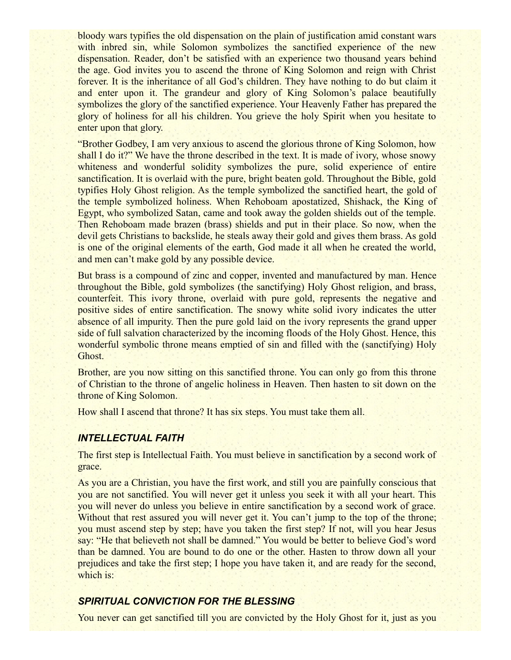bloody wars typifies the old dispensation on the plain of justification amid constant wars with inbred sin, while Solomon symbolizes the sanctified experience of the new dispensation. Reader, don't be satisfied with an experience two thousand years behind the age. God invites you to ascend the throne of King Solomon and reign with Christ forever. It is the inheritance of all God's children. They have nothing to do but claim it and enter upon it. The grandeur and glory of King Solomon's palace beautifully symbolizes the glory of the sanctified experience. Your Heavenly Father has prepared the glory of holiness for all his children. You grieve the holy Spirit when you hesitate to enter upon that glory.

"Brother Godbey, I am very anxious to ascend the glorious throne of King Solomon, how shall I do it?" We have the throne described in the text. It is made of ivory, whose snowy whiteness and wonderful solidity symbolizes the pure, solid experience of entire sanctification. It is overlaid with the pure, bright beaten gold. Throughout the Bible, gold typifies Holy Ghost religion. As the temple symbolized the sanctified heart, the gold of the temple symbolized holiness. When Rehoboam apostatized, Shishack, the King of Egypt, who symbolized Satan, came and took away the golden shields out of the temple. Then Rehoboam made brazen (brass) shields and put in their place. So now, when the devil gets Christians to backslide, he steals away their gold and gives them brass. As gold is one of the original elements of the earth, God made it all when he created the world, and men can't make gold by any possible device.

But brass is a compound of zinc and copper, invented and manufactured by man. Hence throughout the Bible, gold symbolizes (the sanctifying) Holy Ghost religion, and brass, counterfeit. This ivory throne, overlaid with pure gold, represents the negative and positive sides of entire sanctification. The snowy white solid ivory indicates the utter absence of all impurity. Then the pure gold laid on the ivory represents the grand upper side of full salvation characterized by the incoming floods of the Holy Ghost. Hence, this wonderful symbolic throne means emptied of sin and filled with the (sanctifying) Holy Ghost.

Brother, are you now sitting on this sanctified throne. You can only go from this throne of Christian to the throne of angelic holiness in Heaven. Then hasten to sit down on the throne of King Solomon.

How shall I ascend that throne? It has six steps. You must take them all.

### *INTELLECTUAL FAITH*

The first step is Intellectual Faith. You must believe in sanctification by a second work of grace.

As you are a Christian, you have the first work, and still you are painfully conscious that you are not sanctified. You will never get it unless you seek it with all your heart. This you will never do unless you believe in entire sanctification by a second work of grace. Without that rest assured you will never get it. You can't jump to the top of the throne; you must ascend step by step; have you taken the first step? If not, will you hear Jesus say: "He that believeth not shall be damned." You would be better to believe God's word than be damned. You are bound to do one or the other. Hasten to throw down all your prejudices and take the first step; I hope you have taken it, and are ready for the second, which is:

### *SPIRITUAL CONVICTION FOR THE BLESSING*

You never can get sanctified till you are convicted by the Holy Ghost for it, just as you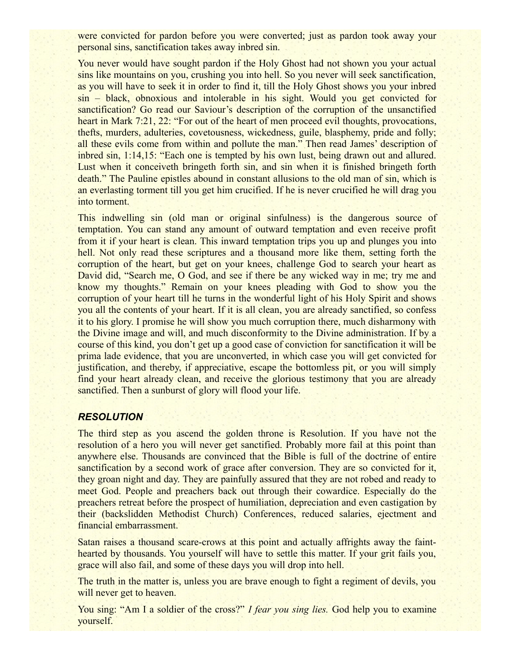were convicted for pardon before you were converted; just as pardon took away your personal sins, sanctification takes away inbred sin.

You never would have sought pardon if the Holy Ghost had not shown you your actual sins like mountains on you, crushing you into hell. So you never will seek sanctification, as you will have to seek it in order to find it, till the Holy Ghost shows you your inbred sin – black, obnoxious and intolerable in his sight. Would you get convicted for sanctification? Go read our Saviour's description of the corruption of the unsanctified heart in Mark 7:21, 22: "For out of the heart of men proceed evil thoughts, provocations, thefts, murders, adulteries, covetousness, wickedness, guile, blasphemy, pride and folly; all these evils come from within and pollute the man." Then read James' description of inbred sin, 1:14,15: "Each one is tempted by his own lust, being drawn out and allured. Lust when it conceiveth bringeth forth sin, and sin when it is finished bringeth forth death." The Pauline epistles abound in constant allusions to the old man of sin, which is an everlasting torment till you get him crucified. If he is never crucified he will drag you into torment.

This indwelling sin (old man or original sinfulness) is the dangerous source of temptation. You can stand any amount of outward temptation and even receive profit from it if your heart is clean. This inward temptation trips you up and plunges you into hell. Not only read these scriptures and a thousand more like them, setting forth the corruption of the heart, but get on your knees, challenge God to search your heart as David did, "Search me, O God, and see if there be any wicked way in me; try me and know my thoughts." Remain on your knees pleading with God to show you the corruption of your heart till he turns in the wonderful light of his Holy Spirit and shows you all the contents of your heart. If it is all clean, you are already sanctified, so confess it to his glory. I promise he will show you much corruption there, much disharmony with the Divine image and will, and much disconformity to the Divine administration. If by a course of this kind, you don't get up a good case of conviction for sanctification it will be prima lade evidence, that you are unconverted, in which case you will get convicted for justification, and thereby, if appreciative, escape the bottomless pit, or you will simply find your heart already clean, and receive the glorious testimony that you are already sanctified. Then a sunburst of glory will flood your life.

### *RESOLUTION*

The third step as you ascend the golden throne is Resolution. If you have not the resolution of a hero you will never get sanctified. Probably more fail at this point than anywhere else. Thousands are convinced that the Bible is full of the doctrine of entire sanctification by a second work of grace after conversion. They are so convicted for it, they groan night and day. They are painfully assured that they are not robed and ready to meet God. People and preachers back out through their cowardice. Especially do the preachers retreat before the prospect of humiliation, depreciation and even castigation by their (backslidden Methodist Church) Conferences, reduced salaries, ejectment and financial embarrassment.

Satan raises a thousand scare-crows at this point and actually affrights away the fainthearted by thousands. You yourself will have to settle this matter. If your grit fails you, grace will also fail, and some of these days you will drop into hell.

The truth in the matter is, unless you are brave enough to fight a regiment of devils, you will never get to heaven.

You sing: "Am I a soldier of the cross?" *I fear you sing lies*. God help you to examine yourself.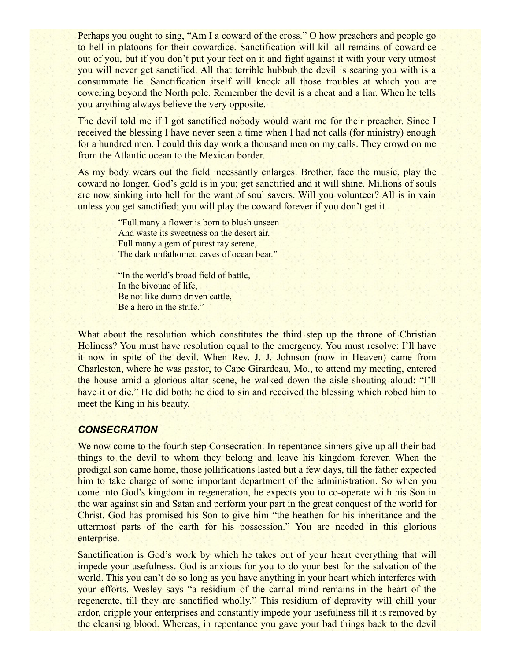Perhaps you ought to sing, "Am I a coward of the cross." O how preachers and people go to hell in platoons for their cowardice. Sanctification will kill all remains of cowardice out of you, but if you don't put your feet on it and fight against it with your very utmost you will never get sanctified. All that terrible hubbub the devil is scaring you with is a consummate lie. Sanctification itself will knock all those troubles at which you are cowering beyond the North pole. Remember the devil is a cheat and a liar. When he tells you anything always believe the very opposite.

The devil told me if I got sanctified nobody would want me for their preacher. Since I received the blessing I have never seen a time when I had not calls (for ministry) enough for a hundred men. I could this day work a thousand men on my calls. They crowd on me from the Atlantic ocean to the Mexican border.

As my body wears out the field incessantly enlarges. Brother, face the music, play the coward no longer. God's gold is in you; get sanctified and it will shine. Millions of souls are now sinking into hell for the want of soul savers. Will you volunteer? All is in vain unless you get sanctified; you will play the coward forever if you don't get it.

> "Full many a flower is born to blush unseen And waste its sweetness on the desert air. Full many a gem of purest ray serene, The dark unfathomed caves of ocean bear."

"In the world's broad field of battle, In the bivouac of life, Be not like dumb driven cattle, Be a hero in the strife."

What about the resolution which constitutes the third step up the throne of Christian Holiness? You must have resolution equal to the emergency. You must resolve: I'll have it now in spite of the devil. When Rev. J. J. Johnson (now in Heaven) came from Charleston, where he was pastor, to Cape Girardeau, Mo., to attend my meeting, entered the house amid a glorious altar scene, he walked down the aisle shouting aloud: "I'll have it or die." He did both; he died to sin and received the blessing which robed him to meet the King in his beauty.

#### *CONSECRATION*

We now come to the fourth step Consecration. In repentance sinners give up all their bad things to the devil to whom they belong and leave his kingdom forever. When the prodigal son came home, those jollifications lasted but a few days, till the father expected him to take charge of some important department of the administration. So when you come into God's kingdom in regeneration, he expects you to co-operate with his Son in the war against sin and Satan and perform your part in the great conquest of the world for Christ. God has promised his Son to give him "the heathen for his inheritance and the uttermost parts of the earth for his possession." You are needed in this glorious enterprise.

Sanctification is God's work by which he takes out of your heart everything that will impede your usefulness. God is anxious for you to do your best for the salvation of the world. This you can't do so long as you have anything in your heart which interferes with your efforts. Wesley says "a residium of the carnal mind remains in the heart of the regenerate, till they are sanctified wholly." This residium of depravity will chill your ardor, cripple your enterprises and constantly impede your usefulness till it is removed by the cleansing blood. Whereas, in repentance you gave your bad things back to the devil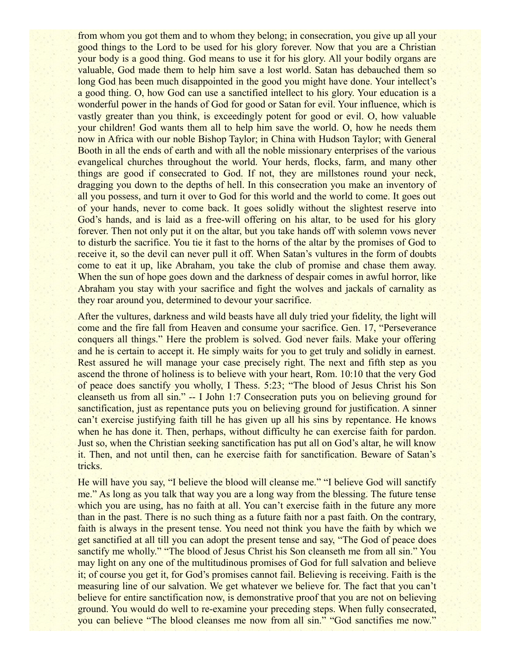from whom you got them and to whom they belong; in consecration, you give up all your good things to the Lord to be used for his glory forever. Now that you are a Christian your body is a good thing. God means to use it for his glory. All your bodily organs are valuable, God made them to help him save a lost world. Satan has debauched them so long God has been much disappointed in the good you might have done. Your intellect's a good thing. O, how God can use a sanctified intellect to his glory. Your education is a wonderful power in the hands of God for good or Satan for evil. Your influence, which is vastly greater than you think, is exceedingly potent for good or evil. O, how valuable your children! God wants them all to help him save the world. O, how he needs them now in Africa with our noble Bishop Taylor; in China with Hudson Taylor; with General Booth in all the ends of earth and with all the noble missionary enterprises of the various evangelical churches throughout the world. Your herds, flocks, farm, and many other things are good if consecrated to God. If not, they are millstones round your neck, dragging you down to the depths of hell. In this consecration you make an inventory of all you possess, and turn it over to God for this world and the world to come. It goes out of your hands, never to come back. It goes solidly without the slightest reserve into God's hands, and is laid as a free-will offering on his altar, to be used for his glory forever. Then not only put it on the altar, but you take hands off with solemn vows never to disturb the sacrifice. You tie it fast to the horns of the altar by the promises of God to receive it, so the devil can never pull it off. When Satan's vultures in the form of doubts come to eat it up, like Abraham, you take the club of promise and chase them away. When the sun of hope goes down and the darkness of despair comes in awful horror, like Abraham you stay with your sacrifice and fight the wolves and jackals of carnality as they roar around you, determined to devour your sacrifice.

After the vultures, darkness and wild beasts have all duly tried your fidelity, the light will come and the fire fall from Heaven and consume your sacrifice. Gen. 17, "Perseverance conquers all things." Here the problem is solved. God never fails. Make your offering and he is certain to accept it. He simply waits for you to get truly and solidly in earnest. Rest assured he will manage your case precisely right. The next and fifth step as you ascend the throne of holiness is to believe with your heart, Rom. 10:10 that the very God of peace does sanctify you wholly, I Thess. 5:23; "The blood of Jesus Christ his Son cleanseth us from all sin." -- I John 1:7 Consecration puts you on believing ground for sanctification, just as repentance puts you on believing ground for justification. A sinner can't exercise justifying faith till he has given up all his sins by repentance. He knows when he has done it. Then, perhaps, without difficulty he can exercise faith for pardon. Just so, when the Christian seeking sanctification has put all on God's altar, he will know it. Then, and not until then, can he exercise faith for sanctification. Beware of Satan's tricks.

He will have you say, "I believe the blood will cleanse me." "I believe God will sanctify me." As long as you talk that way you are a long way from the blessing. The future tense which you are using, has no faith at all. You can't exercise faith in the future any more than in the past. There is no such thing as a future faith nor a past faith. On the contrary, faith is always in the present tense. You need not think you have the faith by which we get sanctified at all till you can adopt the present tense and say, "The God of peace does sanctify me wholly." "The blood of Jesus Christ his Son cleanseth me from all sin." You may light on any one of the multitudinous promises of God for full salvation and believe it; of course you get it, for God's promises cannot fail. Believing is receiving. Faith is the measuring line of our salvation. We get whatever we believe for. The fact that you can't believe for entire sanctification now, is demonstrative proof that you are not on believing ground. You would do well to re-examine your preceding steps. When fully consecrated, you can believe "The blood cleanses me now from all sin." "God sanctifies me now."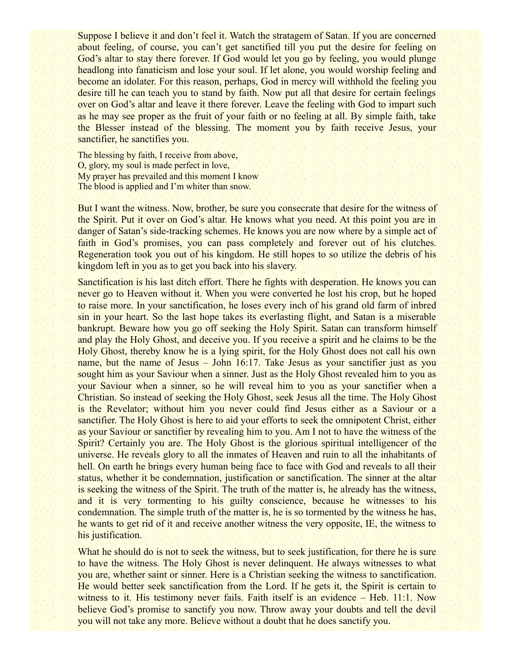Suppose I believe it and don't feel it. Watch the stratagem of Satan. If you are concerned about feeling, of course, you can't get sanctified till you put the desire for feeling on God's altar to stay there forever. If God would let you go by feeling, you would plunge headlong into fanaticism and lose your soul. If let alone, you would worship feeling and become an idolater. For this reason, perhaps, God in mercy will withhold the feeling you desire till he can teach you to stand by faith. Now put all that desire for certain feelings over on God's altar and leave it there forever. Leave the feeling with God to impart such as he may see proper as the fruit of your faith or no feeling at all. By simple faith, take the Blesser instead of the blessing. The moment you by faith receive Jesus, your sanctifier, he sanctifies you.

The blessing by faith, I receive from above, O, glory, my soul is made perfect in love, My prayer has prevailed and this moment I know The blood is applied and I'm whiter than snow.

But I want the witness. Now, brother, be sure you consecrate that desire for the witness of the Spirit. Put it over on God's altar. He knows what you need. At this point you are in danger of Satan's side-tracking schemes. He knows you are now where by a simple act of faith in God's promises, you can pass completely and forever out of his clutches. Regeneration took you out of his kingdom. He still hopes to so utilize the debris of his kingdom left in you as to get you back into his slavery.

Sanctification is his last ditch effort. There he fights with desperation. He knows you can never go to Heaven without it. When you were converted he lost his crop, but he hoped to raise more. In your sanctification, he loses every inch of his grand old farm of inbred sin in your heart. So the last hope takes its everlasting flight, and Satan is a miserable bankrupt. Beware how you go off seeking the Holy Spirit. Satan can transform himself and play the Holy Ghost, and deceive you. If you receive a spirit and he claims to be the Holy Ghost, thereby know he is a lying spirit, for the Holy Ghost does not call his own name, but the name of Jesus – John 16:17. Take Jesus as your sanctifier just as you sought him as your Saviour when a sinner. Just as the Holy Ghost revealed him to you as your Saviour when a sinner, so he will reveal him to you as your sanctifier when a Christian. So instead of seeking the Holy Ghost, seek Jesus all the time. The Holy Ghost is the Revelator; without him you never could find Jesus either as a Saviour or a sanctifier. The Holy Ghost is here to aid your efforts to seek the omnipotent Christ, either as your Saviour or sanctifier by revealing him to you. Am I not to have the witness of the Spirit? Certainly you are. The Holy Ghost is the glorious spiritual intelligencer of the universe. He reveals glory to all the inmates of Heaven and ruin to all the inhabitants of hell. On earth he brings every human being face to face with God and reveals to all their status, whether it be condemnation, justification or sanctification. The sinner at the altar is seeking the witness of the Spirit. The truth of the matter is, he already has the witness, and it is very tormenting to his guilty conscience, because he witnesses to his condemnation. The simple truth of the matter is, he is so tormented by the witness he has, he wants to get rid of it and receive another witness the very opposite, IE, the witness to his justification.

What he should do is not to seek the witness, but to seek justification, for there he is sure to have the witness. The Holy Ghost is never delinquent. He always witnesses to what you are, whether saint or sinner. Here is a Christian seeking the witness to sanctification. He would better seek sanctification from the Lord. If he gets it, the Spirit is certain to witness to it. His testimony never fails. Faith itself is an evidence – Heb. 11:1. Now believe God's promise to sanctify you now. Throw away your doubts and tell the devil you will not take any more. Believe without a doubt that he does sanctify you.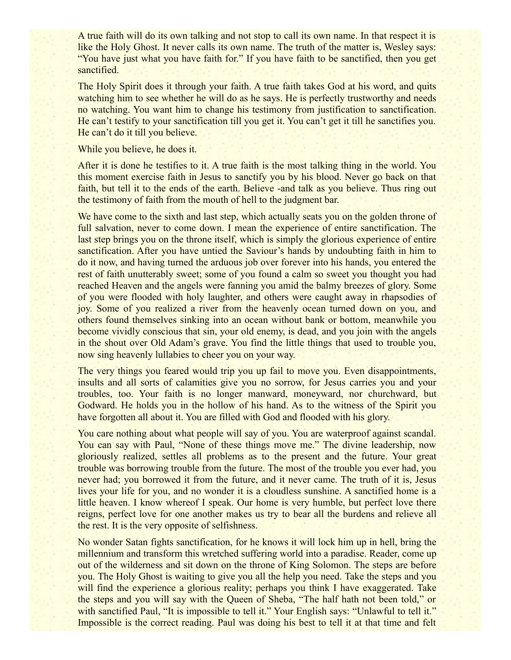A true faith will do its own talking and not stop to call its own name. In that respect it is like the Holy Ghost. It never calls its own name. The truth of the matter is, Wesley says: "You have just what you have faith for." If you have faith to be sanctified, then you get sanctified.

The Holy Spirit does it through your faith. A true faith takes God at his word, and quits watching him to see whether he will do as he says. He is perfectly trustworthy and needs no watching. You want him to change his testimony from justification to sanctification. He can't testify to your sanctification till you get it. You can't get it till he sanctifies you. He can't do it till you believe.

#### While you believe, he does it.

After it is done he testifies to it. A true faith is the most talking thing in the world. You this moment exercise faith in Jesus to sanctify you by his blood. Never go back on that faith, but tell it to the ends of the earth. Believe -and talk as you believe. Thus ring out the testimony of faith from the mouth of hell to the judgment bar.

We have come to the sixth and last step, which actually seats you on the golden throne of full salvation, never to come down. I mean the experience of entire sanctification. The last step brings you on the throne itself, which is simply the glorious experience of entire sanctification. After you have untied the Saviour's hands by undoubting faith in him to do it now, and having turned the arduous job over forever into his hands, you entered the rest of faith unutterably sweet; some of you found a calm so sweet you thought you had reached Heaven and the angels were fanning you amid the balmy breezes of glory. Some of you were flooded with holy laughter, and others were caught away in rhapsodies of joy. Some of you realized a river from the heavenly ocean turned down on you, and others found themselves sinking into an ocean without bank or bottom, meanwhile you become vividly conscious that sin, your old enemy, is dead, and you join with the angels in the shout over Old Adam's grave. You find the little things that used to trouble you, now sing heavenly lullabies to cheer you on your way.

The very things you feared would trip you up fail to move you. Even disappointments, insults and all sorts of calamities give you no sorrow, for Jesus carries you and your troubles, too. Your faith is no longer manward, moneyward, nor churchward, but Godward. He holds you in the hollow of his hand. As to the witness of the Spirit you have forgotten all about it. You are filled with God and flooded with his glory.

You care nothing about what people will say of you. You are waterproof against scandal. You can say with Paul, "None of these things move me." The divine leadership, now gloriously realized, settles all problems as to the present and the future. Your great trouble was borrowing trouble from the future. The most of the trouble you ever had, you never had; you borrowed it from the future, and it never came. The truth of it is, Jesus lives your life for you, and no wonder it is a cloudless sunshine. A sanctified home is a little heaven. I know whereof I speak. Our home is very humble, but perfect love there reigns, perfect love for one another makes us try to bear all the burdens and relieve all the rest. It is the very opposite of selfishness.

No wonder Satan fights sanctification, for he knows it will lock him up in hell, bring the millennium and transform this wretched suffering world into a paradise. Reader, come up out of the wilderness and sit down on the throne of King Solomon. The steps are before you. The Holy Ghost is waiting to give you all the help you need. Take the steps and you will find the experience a glorious reality; perhaps you think I have exaggerated. Take the steps and you will say with the Queen of Sheba, "The half hath not been told," or with sanctified Paul, "It is impossible to tell it." Your English says: "Unlawful to tell it." Impossible is the correct reading. Paul was doing his best to tell it at that time and felt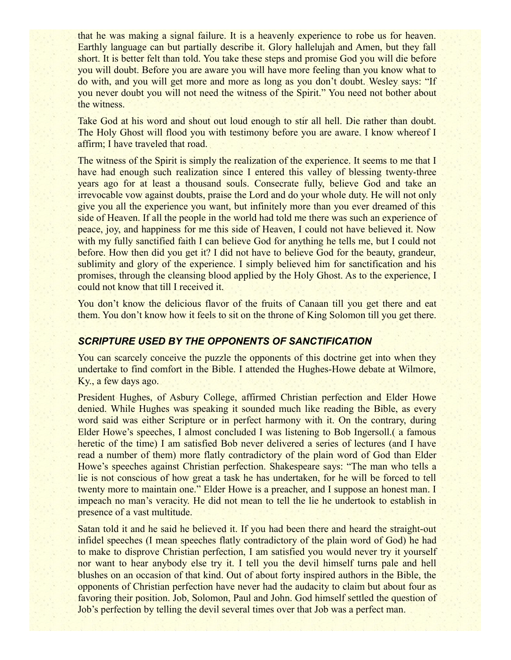that he was making a signal failure. It is a heavenly experience to robe us for heaven. Earthly language can but partially describe it. Glory hallelujah and Amen, but they fall short. It is better felt than told. You take these steps and promise God you will die before you will doubt. Before you are aware you will have more feeling than you know what to do with, and you will get more and more as long as you don't doubt. Wesley says: "If you never doubt you will not need the witness of the Spirit." You need not bother about the witness.

Take God at his word and shout out loud enough to stir all hell. Die rather than doubt. The Holy Ghost will flood you with testimony before you are aware. I know whereof I affirm; I have traveled that road.

The witness of the Spirit is simply the realization of the experience. It seems to me that I have had enough such realization since I entered this valley of blessing twenty-three years ago for at least a thousand souls. Consecrate fully, believe God and take an irrevocable vow against doubts, praise the Lord and do your whole duty. He will not only give you all the experience you want, but infinitely more than you ever dreamed of this side of Heaven. If all the people in the world had told me there was such an experience of peace, joy, and happiness for me this side of Heaven, I could not have believed it. Now with my fully sanctified faith I can believe God for anything he tells me, but I could not before. How then did you get it? I did not have to believe God for the beauty, grandeur, sublimity and glory of the experience. I simply believed him for sanctification and his promises, through the cleansing blood applied by the Holy Ghost. As to the experience, I could not know that till I received it.

You don't know the delicious flavor of the fruits of Canaan till you get there and eat them. You don't know how it feels to sit on the throne of King Solomon till you get there.

### *SCRIPTURE USED BY THE OPPONENTS OF SANCTIFICATION*

You can scarcely conceive the puzzle the opponents of this doctrine get into when they undertake to find comfort in the Bible. I attended the Hughes-Howe debate at Wilmore, Ky., a few days ago.

President Hughes, of Asbury College, affirmed Christian perfection and Elder Howe denied. While Hughes was speaking it sounded much like reading the Bible, as every word said was either Scripture or in perfect harmony with it. On the contrary, during Elder Howe's speeches, I almost concluded I was listening to Bob Ingersoll.( a famous heretic of the time) I am satisfied Bob never delivered a series of lectures (and I have read a number of them) more flatly contradictory of the plain word of God than Elder Howe's speeches against Christian perfection. Shakespeare says: "The man who tells a lie is not conscious of how great a task he has undertaken, for he will be forced to tell twenty more to maintain one." Elder Howe is a preacher, and I suppose an honest man. I impeach no man's veracity. He did not mean to tell the lie he undertook to establish in presence of a vast multitude.

Satan told it and he said he believed it. If you had been there and heard the straight-out infidel speeches (I mean speeches flatly contradictory of the plain word of God) he had to make to disprove Christian perfection, I am satisfied you would never try it yourself nor want to hear anybody else try it. I tell you the devil himself turns pale and hell blushes on an occasion of that kind. Out of about forty inspired authors in the Bible, the opponents of Christian perfection have never had the audacity to claim but about four as favoring their position. Job, Solomon, Paul and John. God himself settled the question of Job's perfection by telling the devil several times over that Job was a perfect man.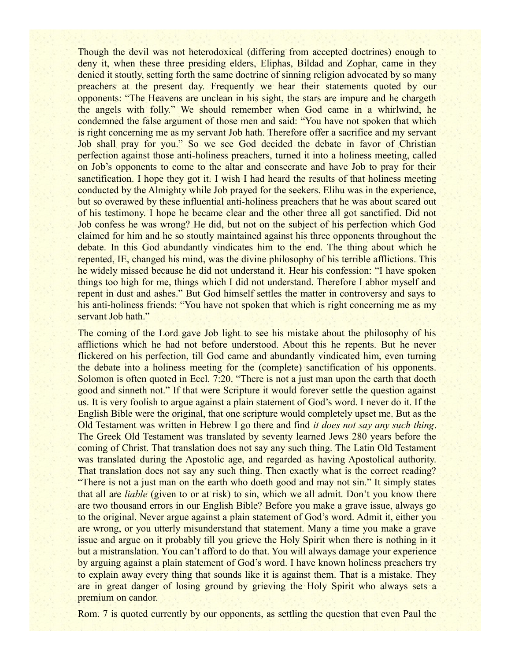Though the devil was not heterodoxical (differing from accepted doctrines) enough to deny it, when these three presiding elders, Eliphas, Bildad and Zophar, came in they denied it stoutly, setting forth the same doctrine of sinning religion advocated by so many preachers at the present day. Frequently we hear their statements quoted by our opponents: "The Heavens are unclean in his sight, the stars are impure and he chargeth the angels with folly." We should remember when God came in a whirlwind, he condemned the false argument of those men and said: "You have not spoken that which is right concerning me as my servant Job hath. Therefore offer a sacrifice and my servant Job shall pray for you." So we see God decided the debate in favor of Christian perfection against those anti-holiness preachers, turned it into a holiness meeting, called on Job's opponents to come to the altar and consecrate and have Job to pray for their sanctification. I hope they got it. I wish I had heard the results of that holiness meeting conducted by the Almighty while Job prayed for the seekers. Elihu was in the experience, but so overawed by these influential anti-holiness preachers that he was about scared out of his testimony. I hope he became clear and the other three all got sanctified. Did not Job confess he was wrong? He did, but not on the subject of his perfection which God claimed for him and he so stoutly maintained against his three opponents throughout the debate. In this God abundantly vindicates him to the end. The thing about which he repented, IE, changed his mind, was the divine philosophy of his terrible afflictions. This he widely missed because he did not understand it. Hear his confession: "I have spoken things too high for me, things which I did not understand. Therefore I abhor myself and repent in dust and ashes." But God himself settles the matter in controversy and says to his anti-holiness friends: "You have not spoken that which is right concerning me as my servant Job hath."

The coming of the Lord gave Job light to see his mistake about the philosophy of his afflictions which he had not before understood. About this he repents. But he never flickered on his perfection, till God came and abundantly vindicated him, even turning the debate into a holiness meeting for the (complete) sanctification of his opponents. Solomon is often quoted in Eccl. 7:20. "There is not a just man upon the earth that doeth good and sinneth not." If that were Scripture it would forever settle the question against us. It is very foolish to argue against a plain statement of God's word. I never do it. If the English Bible were the original, that one scripture would completely upset me. But as the Old Testament was written in Hebrew I go there and find *it does not say any such thing*. The Greek Old Testament was translated by seventy learned Jews 280 years before the coming of Christ. That translation does not say any such thing. The Latin Old Testament was translated during the Apostolic age, and regarded as having Apostolical authority. That translation does not say any such thing. Then exactly what is the correct reading? "There is not a just man on the earth who doeth good and may not sin." It simply states that all are *liable* (given to or at risk) to sin, which we all admit. Don't you know there are two thousand errors in our English Bible? Before you make a grave issue, always go to the original. Never argue against a plain statement of God's word. Admit it, either you are wrong, or you utterly misunderstand that statement. Many a time you make a grave issue and argue on it probably till you grieve the Holy Spirit when there is nothing in it but a mistranslation. You can't afford to do that. You will always damage your experience by arguing against a plain statement of God's word. I have known holiness preachers try to explain away every thing that sounds like it is against them. That is a mistake. They are in great danger of losing ground by grieving the Holy Spirit who always sets a premium on candor.

Rom. 7 is quoted currently by our opponents, as settling the question that even Paul the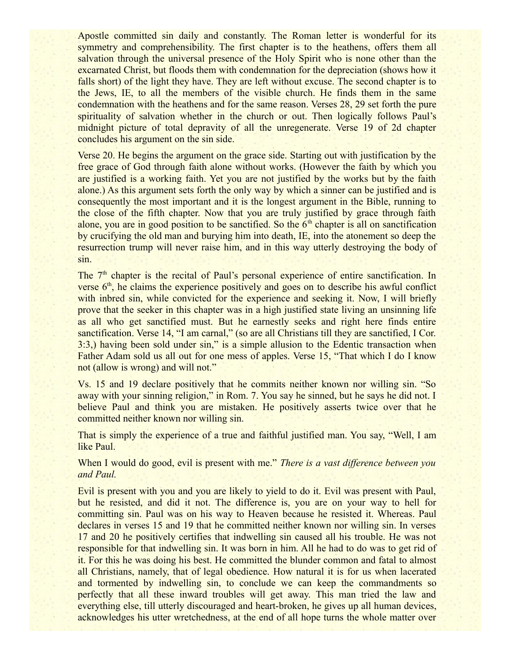Apostle committed sin daily and constantly. The Roman letter is wonderful for its symmetry and comprehensibility. The first chapter is to the heathens, offers them all salvation through the universal presence of the Holy Spirit who is none other than the excarnated Christ, but floods them with condemnation for the depreciation (shows how it falls short) of the light they have. They are left without excuse. The second chapter is to the Jews, IE, to all the members of the visible church. He finds them in the same condemnation with the heathens and for the same reason. Verses 28, 29 set forth the pure spirituality of salvation whether in the church or out. Then logically follows Paul's midnight picture of total depravity of all the unregenerate. Verse 19 of 2d chapter concludes his argument on the sin side.

Verse 20. He begins the argument on the grace side. Starting out with justification by the free grace of God through faith alone without works. (However the faith by which you are justified is a working faith. Yet you are not justified by the works but by the faith alone.) As this argument sets forth the only way by which a sinner can be justified and is consequently the most important and it is the longest argument in the Bible, running to the close of the fifth chapter. Now that you are truly justified by grace through faith alone, you are in good position to be sanctified. So the  $6<sup>th</sup>$  chapter is all on sanctification by crucifying the old man and burying him into death, IE, into the atonement so deep the resurrection trump will never raise him, and in this way utterly destroying the body of sin.

The 7<sup>th</sup> chapter is the recital of Paul's personal experience of entire sanctification. In verse  $6<sup>th</sup>$ , he claims the experience positively and goes on to describe his awful conflict with inbred sin, while convicted for the experience and seeking it. Now, I will briefly prove that the seeker in this chapter was in a high justified state living an unsinning life as all who get sanctified must. But he earnestly seeks and right here finds entire sanctification. Verse 14, "I am carnal," (so are all Christians till they are sanctified, I Cor. 3:3,) having been sold under sin," is a simple allusion to the Edentic transaction when Father Adam sold us all out for one mess of apples. Verse 15, "That which I do I know not (allow is wrong) and will not."

Vs. 15 and 19 declare positively that he commits neither known nor willing sin. "So away with your sinning religion," in Rom. 7. You say he sinned, but he says he did not. I believe Paul and think you are mistaken. He positively asserts twice over that he committed neither known nor willing sin.

That is simply the experience of a true and faithful justified man. You say, "Well, I am like Paul.

When I would do good, evil is present with me." *There is a vast difference between you and Paul.*

Evil is present with you and you are likely to yield to do it. Evil was present with Paul, but he resisted, and did it not. The difference is, you are on your way to hell for committing sin. Paul was on his way to Heaven because he resisted it. Whereas. Paul declares in verses 15 and 19 that he committed neither known nor willing sin. In verses 17 and 20 he positively certifies that indwelling sin caused all his trouble. He was not responsible for that indwelling sin. It was born in him. All he had to do was to get rid of it. For this he was doing his best. He committed the blunder common and fatal to almost all Christians, namely, that of legal obedience. How natural it is for us when lacerated and tormented by indwelling sin, to conclude we can keep the commandments so perfectly that all these inward troubles will get away. This man tried the law and everything else, till utterly discouraged and heart-broken, he gives up all human devices, acknowledges his utter wretchedness, at the end of all hope turns the whole matter over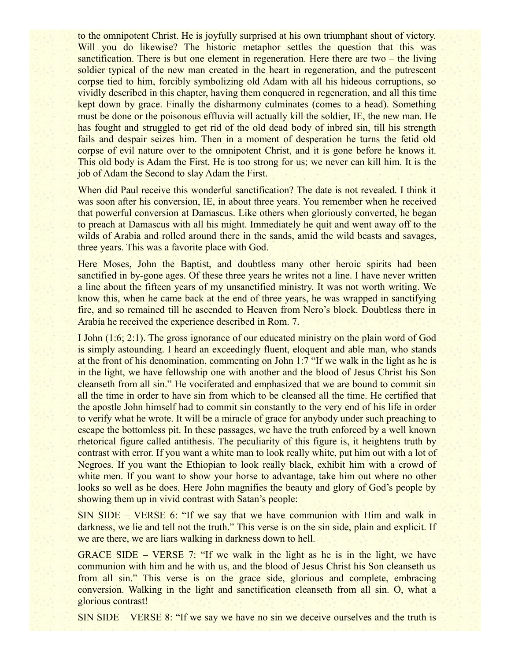to the omnipotent Christ. He is joyfully surprised at his own triumphant shout of victory. Will you do likewise? The historic metaphor settles the question that this was sanctification. There is but one element in regeneration. Here there are two – the living soldier typical of the new man created in the heart in regeneration, and the putrescent corpse tied to him, forcibly symbolizing old Adam with all his hideous corruptions, so vividly described in this chapter, having them conquered in regeneration, and all this time kept down by grace. Finally the disharmony culminates (comes to a head). Something must be done or the poisonous effluvia will actually kill the soldier, IE, the new man. He has fought and struggled to get rid of the old dead body of inbred sin, till his strength fails and despair seizes him. Then in a moment of desperation he turns the fetid old corpse of evil nature over to the omnipotent Christ, and it is gone before he knows it. This old body is Adam the First. He is too strong for us; we never can kill him. It is the job of Adam the Second to slay Adam the First.

When did Paul receive this wonderful sanctification? The date is not revealed. I think it was soon after his conversion, IE, in about three years. You remember when he received that powerful conversion at Damascus. Like others when gloriously converted, he began to preach at Damascus with all his might. Immediately he quit and went away off to the wilds of Arabia and rolled around there in the sands, amid the wild beasts and savages, three years. This was a favorite place with God.

Here Moses, John the Baptist, and doubtless many other heroic spirits had been sanctified in by-gone ages. Of these three years he writes not a line. I have never written a line about the fifteen years of my unsanctified ministry. It was not worth writing. We know this, when he came back at the end of three years, he was wrapped in sanctifying fire, and so remained till he ascended to Heaven from Nero's block. Doubtless there in Arabia he received the experience described in Rom. 7.

I John (1:6; 2:1). The gross ignorance of our educated ministry on the plain word of God is simply astounding. I heard an exceedingly fluent, eloquent and able man, who stands at the front of his denomination, commenting on John 1:7 "If we walk in the light as he is in the light, we have fellowship one with another and the blood of Jesus Christ his Son cleanseth from all sin." He vociferated and emphasized that we are bound to commit sin all the time in order to have sin from which to be cleansed all the time. He certified that the apostle John himself had to commit sin constantly to the very end of his life in order to verify what he wrote. It will be a miracle of grace for anybody under such preaching to escape the bottomless pit. In these passages, we have the truth enforced by a well known rhetorical figure called antithesis. The peculiarity of this figure is, it heightens truth by contrast with error. If you want a white man to look really white, put him out with a lot of Negroes. If you want the Ethiopian to look really black, exhibit him with a crowd of white men. If you want to show your horse to advantage, take him out where no other looks so well as he does. Here John magnifies the beauty and glory of God's people by showing them up in vivid contrast with Satan's people:

SIN SIDE – VERSE 6: "If we say that we have communion with Him and walk in darkness, we lie and tell not the truth." This verse is on the sin side, plain and explicit. If we are there, we are liars walking in darkness down to hell.

GRACE SIDE – VERSE 7: "If we walk in the light as he is in the light, we have communion with him and he with us, and the blood of Jesus Christ his Son cleanseth us from all sin." This verse is on the grace side, glorious and complete, embracing conversion. Walking in the light and sanctification cleanseth from all sin. O, what a glorious contrast!

SIN SIDE – VERSE 8: "If we say we have no sin we deceive ourselves and the truth is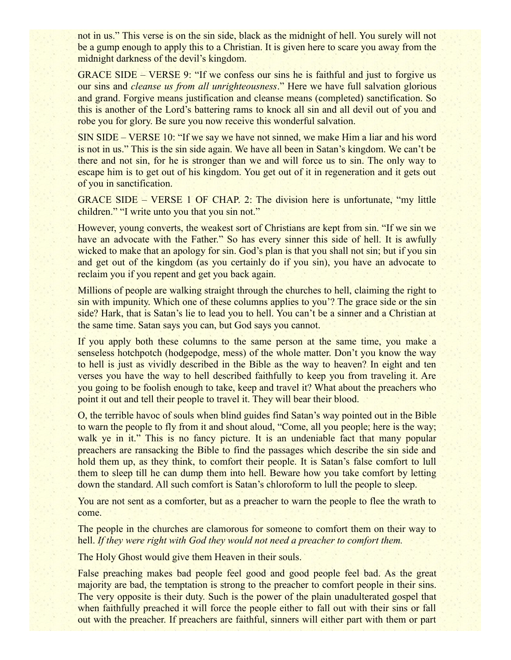not in us." This verse is on the sin side, black as the midnight of hell. You surely will not be a gump enough to apply this to a Christian. It is given here to scare you away from the midnight darkness of the devil's kingdom.

GRACE SIDE – VERSE 9: "If we confess our sins he is faithful and just to forgive us our sins and *cleanse us from all unrighteousness*." Here we have full salvation glorious and grand. Forgive means justification and cleanse means (completed) sanctification. So this is another of the Lord's battering rams to knock all sin and all devil out of you and robe you for glory. Be sure you now receive this wonderful salvation.

SIN SIDE – VERSE 10: "If we say we have not sinned, we make Him a liar and his word is not in us." This is the sin side again. We have all been in Satan's kingdom. We can't be there and not sin, for he is stronger than we and will force us to sin. The only way to escape him is to get out of his kingdom. You get out of it in regeneration and it gets out of you in sanctification.

GRACE SIDE – VERSE 1 OF CHAP. 2: The division here is unfortunate, "my little children." "I write unto you that you sin not."

However, young converts, the weakest sort of Christians are kept from sin. "If we sin we have an advocate with the Father." So has every sinner this side of hell. It is awfully wicked to make that an apology for sin. God's plan is that you shall not sin; but if you sin and get out of the kingdom (as you certainly do if you sin), you have an advocate to reclaim you if you repent and get you back again.

Millions of people are walking straight through the churches to hell, claiming the right to sin with impunity. Which one of these columns applies to you'? The grace side or the sin side? Hark, that is Satan's lie to lead you to hell. You can't be a sinner and a Christian at the same time. Satan says you can, but God says you cannot.

If you apply both these columns to the same person at the same time, you make a senseless hotchpotch (hodgepodge, mess) of the whole matter. Don't you know the way to hell is just as vividly described in the Bible as the way to heaven? In eight and ten verses you have the way to hell described faithfully to keep you from traveling it. Are you going to be foolish enough to take, keep and travel it? What about the preachers who point it out and tell their people to travel it. They will bear their blood.

O, the terrible havoc of souls when blind guides find Satan's way pointed out in the Bible to warn the people to fly from it and shout aloud, "Come, all you people; here is the way; walk ye in it." This is no fancy picture. It is an undeniable fact that many popular preachers are ransacking the Bible to find the passages which describe the sin side and hold them up, as they think, to comfort their people. It is Satan's false comfort to lull them to sleep till he can dump them into hell. Beware how you take comfort by letting down the standard. All such comfort is Satan's chloroform to lull the people to sleep.

You are not sent as a comforter, but as a preacher to warn the people to flee the wrath to come.

The people in the churches are clamorous for someone to comfort them on their way to hell. *If they were right with God they would not need a preacher to comfort them.*

The Holy Ghost would give them Heaven in their souls.

False preaching makes bad people feel good and good people feel bad. As the great majority are bad, the temptation is strong to the preacher to comfort people in their sins. The very opposite is their duty. Such is the power of the plain unadulterated gospel that when faithfully preached it will force the people either to fall out with their sins or fall out with the preacher. If preachers are faithful, sinners will either part with them or part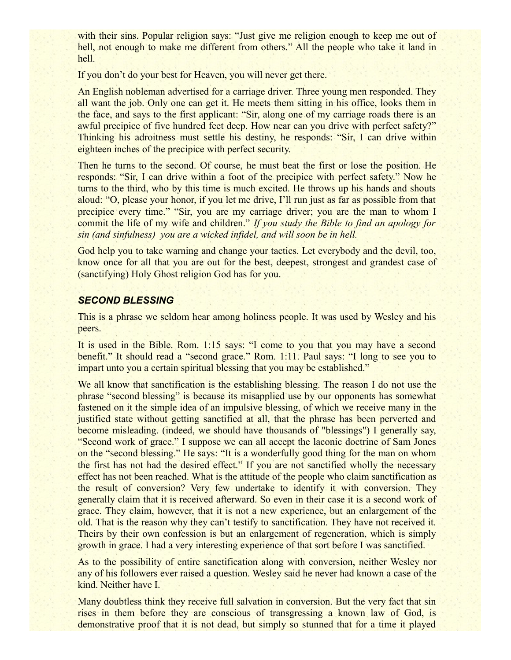with their sins. Popular religion says: "Just give me religion enough to keep me out of hell, not enough to make me different from others." All the people who take it land in hell.

If you don't do your best for Heaven, you will never get there.

An English nobleman advertised for a carriage driver. Three young men responded. They all want the job. Only one can get it. He meets them sitting in his office, looks them in the face, and says to the first applicant: "Sir, along one of my carriage roads there is an awful precipice of five hundred feet deep. How near can you drive with perfect safety?" Thinking his adroitness must settle his destiny, he responds: "Sir, I can drive within eighteen inches of the precipice with perfect security.

Then he turns to the second. Of course, he must beat the first or lose the position. He responds: "Sir, I can drive within a foot of the precipice with perfect safety." Now he turns to the third, who by this time is much excited. He throws up his hands and shouts aloud: "O, please your honor, if you let me drive, I'll run just as far as possible from that precipice every time." "Sir, you are my carriage driver; you are the man to whom I commit the life of my wife and children." *If you study the Bible to find an apology for sin (and sinfulness) you are a wicked infidel, and will soon be in hell.*

God help you to take warning and change your tactics. Let everybody and the devil, too, know once for all that you are out for the best, deepest, strongest and grandest case of (sanctifying) Holy Ghost religion God has for you.

#### *SECOND BLESSING*

This is a phrase we seldom hear among holiness people. It was used by Wesley and his peers.

It is used in the Bible. Rom. 1:15 says: "I come to you that you may have a second benefit." It should read a "second grace." Rom. 1:11. Paul says: "I long to see you to impart unto you a certain spiritual blessing that you may be established."

We all know that sanctification is the establishing blessing. The reason I do not use the phrase "second blessing" is because its misapplied use by our opponents has somewhat fastened on it the simple idea of an impulsive blessing, of which we receive many in the justified state without getting sanctified at all, that the phrase has been perverted and become misleading. (indeed, we should have thousands of "blessings") I generally say, "Second work of grace." I suppose we can all accept the laconic doctrine of Sam Jones on the "second blessing." He says: "It is a wonderfully good thing for the man on whom the first has not had the desired effect." If you are not sanctified wholly the necessary effect has not been reached. What is the attitude of the people who claim sanctification as the result of conversion? Very few undertake to identify it with conversion. They generally claim that it is received afterward. So even in their case it is a second work of grace. They claim, however, that it is not a new experience, but an enlargement of the old. That is the reason why they can't testify to sanctification. They have not received it. Theirs by their own confession is but an enlargement of regeneration, which is simply growth in grace. I had a very interesting experience of that sort before I was sanctified.

As to the possibility of entire sanctification along with conversion, neither Wesley nor any of his followers ever raised a question. Wesley said he never had known a case of the kind. Neither have I.

Many doubtless think they receive full salvation in conversion. But the very fact that sin rises in them before they are conscious of transgressing a known law of God, is demonstrative proof that it is not dead, but simply so stunned that for a time it played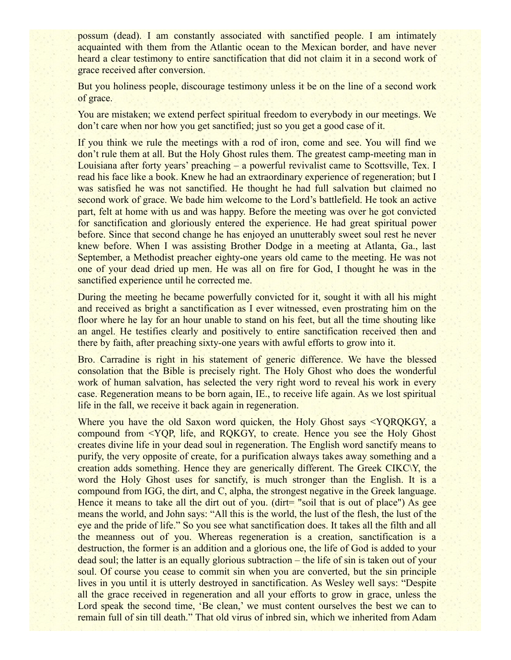possum (dead). I am constantly associated with sanctified people. I am intimately acquainted with them from the Atlantic ocean to the Mexican border, and have never heard a clear testimony to entire sanctification that did not claim it in a second work of grace received after conversion.

But you holiness people, discourage testimony unless it be on the line of a second work of grace.

You are mistaken; we extend perfect spiritual freedom to everybody in our meetings. We don't care when nor how you get sanctified; just so you get a good case of it.

If you think we rule the meetings with a rod of iron, come and see. You will find we don't rule them at all. But the Holy Ghost rules them. The greatest camp-meeting man in Louisiana after forty years' preaching – a powerful revivalist came to Scottsville, Tex. I read his face like a book. Knew he had an extraordinary experience of regeneration; but I was satisfied he was not sanctified. He thought he had full salvation but claimed no second work of grace. We bade him welcome to the Lord's battlefield. He took an active part, felt at home with us and was happy. Before the meeting was over he got convicted for sanctification and gloriously entered the experience. He had great spiritual power before. Since that second change he has enjoyed an unutterably sweet soul rest he never knew before. When I was assisting Brother Dodge in a meeting at Atlanta, Ga., last September, a Methodist preacher eighty-one years old came to the meeting. He was not one of your dead dried up men. He was all on fire for God, I thought he was in the sanctified experience until he corrected me.

During the meeting he became powerfully convicted for it, sought it with all his might and received as bright a sanctification as I ever witnessed, even prostrating him on the floor where he lay for an hour unable to stand on his feet, but all the time shouting like an angel. He testifies clearly and positively to entire sanctification received then and there by faith, after preaching sixty-one years with awful efforts to grow into it.

Bro. Carradine is right in his statement of generic difference. We have the blessed consolation that the Bible is precisely right. The Holy Ghost who does the wonderful work of human salvation, has selected the very right word to reveal his work in every case. Regeneration means to be born again, IE., to receive life again. As we lost spiritual life in the fall, we receive it back again in regeneration.

Where you have the old Saxon word quicken, the Holy Ghost says <YOROKGY, a compound from <YQP, life, and RQKGY, to create. Hence you see the Holy Ghost creates divine life in your dead soul in regeneration. The English word sanctify means to purify, the very opposite of create, for a purification always takes away something and a creation adds something. Hence they are generically different. The Greek CIKC\Y, the word the Holy Ghost uses for sanctify, is much stronger than the English. It is a compound from IGG, the dirt, and C, alpha, the strongest negative in the Greek language. Hence it means to take all the dirt out of you. (dirt= "soil that is out of place") As gee means the world, and John says: "All this is the world, the lust of the flesh, the lust of the eye and the pride of life." So you see what sanctification does. It takes all the filth and all the meanness out of you. Whereas regeneration is a creation, sanctification is a destruction, the former is an addition and a glorious one, the life of God is added to your dead soul; the latter is an equally glorious subtraction – the life of sin is taken out of your soul. Of course you cease to commit sin when you are converted, but the sin principle lives in you until it is utterly destroyed in sanctification. As Wesley well says: "Despite all the grace received in regeneration and all your efforts to grow in grace, unless the Lord speak the second time, 'Be clean,' we must content ourselves the best we can to remain full of sin till death." That old virus of inbred sin, which we inherited from Adam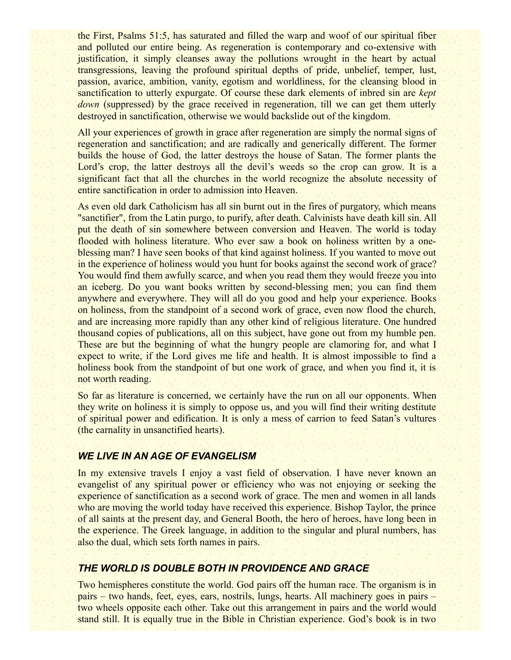the First, Psalms 51:5, has saturated and filled the warp and woof of our spiritual fiber and polluted our entire being. As regeneration is contemporary and co-extensive with justification, it simply cleanses away the pollutions wrought in the heart by actual transgressions, leaving the profound spiritual depths of pride, unbelief, temper, lust, passion, avarice, ambition, vanity, egotism and worldliness, for the cleansing blood in sanctification to utterly expurgate. Of course these dark elements of inbred sin are *kept down* (suppressed) by the grace received in regeneration, till we can get them utterly destroyed in sanctification, otherwise we would backslide out of the kingdom.

All your experiences of growth in grace after regeneration are simply the normal signs of regeneration and sanctification; and are radically and generically different. The former builds the house of God, the latter destroys the house of Satan. The former plants the Lord's crop, the latter destroys all the devil's weeds so the crop can grow. It is a significant fact that all the churches in the world recognize the absolute necessity of entire sanctification in order to admission into Heaven.

As even old dark Catholicism has all sin burnt out in the fires of purgatory, which means "sanctifier", from the Latin purgo, to purify, after death. Calvinists have death kill sin. All put the death of sin somewhere between conversion and Heaven. The world is today flooded with holiness literature. Who ever saw a book on holiness written by a oneblessing man? I have seen books of that kind against holiness. If you wanted to move out in the experience of holiness would you hunt for books against the second work of grace? You would find them awfully scarce, and when you read them they would freeze you into an iceberg. Do you want books written by second-blessing men; you can find them anywhere and everywhere. They will all do you good and help your experience. Books on holiness, from the standpoint of a second work of grace, even now flood the church, and are increasing more rapidly than any other kind of religious literature. One hundred thousand copies of publications, all on this subject, have gone out from my humble pen. These are but the beginning of what the hungry people are clamoring for, and what I expect to write, if the Lord gives me life and health. It is almost impossible to find a holiness book from the standpoint of but one work of grace, and when you find it, it is not worth reading.

So far as literature is concerned, we certainly have the run on all our opponents. When they write on holiness it is simply to oppose us, and you will find their writing destitute of spiritual power and edification. It is only a mess of carrion to feed Satan's vultures (the carnality in unsanctified hearts).

#### *WE LIVE IN AN AGE OF EVANGELISM*

In my extensive travels I enjoy a vast field of observation. I have never known an evangelist of any spiritual power or efficiency who was not enjoying or seeking the experience of sanctification as a second work of grace. The men and women in all lands who are moving the world today have received this experience. Bishop Taylor, the prince of all saints at the present day, and General Booth, the hero of heroes, have long been in the experience. The Greek language, in addition to the singular and plural numbers, has also the dual, which sets forth names in pairs.

## *THE WORLD IS DOUBLE BOTH IN PROVIDENCE AND GRACE*

Two hemispheres constitute the world. God pairs off the human race. The organism is in pairs – two hands, feet, eyes, ears, nostrils, lungs, hearts. All machinery goes in pairs – two wheels opposite each other. Take out this arrangement in pairs and the world would stand still. It is equally true in the Bible in Christian experience. God's book is in two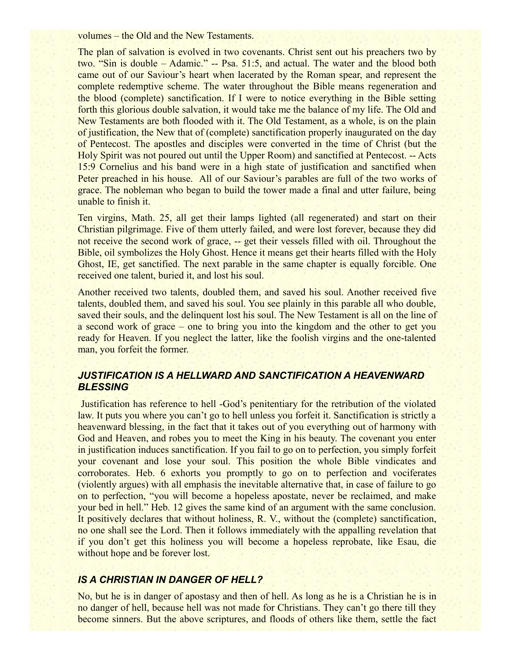volumes – the Old and the New Testaments.

The plan of salvation is evolved in two covenants. Christ sent out his preachers two by two. "Sin is double – Adamic." -- Psa. 51:5, and actual. The water and the blood both came out of our Saviour's heart when lacerated by the Roman spear, and represent the complete redemptive scheme. The water throughout the Bible means regeneration and the blood (complete) sanctification. If I were to notice everything in the Bible setting forth this glorious double salvation, it would take me the balance of my life. The Old and New Testaments are both flooded with it. The Old Testament, as a whole, is on the plain of justification, the New that of (complete) sanctification properly inaugurated on the day of Pentecost. The apostles and disciples were converted in the time of Christ (but the Holy Spirit was not poured out until the Upper Room) and sanctified at Pentecost. -- Acts 15:9 Cornelius and his band were in a high state of justification and sanctified when Peter preached in his house. All of our Saviour's parables are full of the two works of grace. The nobleman who began to build the tower made a final and utter failure, being unable to finish it.

Ten virgins, Math. 25, all get their lamps lighted (all regenerated) and start on their Christian pilgrimage. Five of them utterly failed, and were lost forever, because they did not receive the second work of grace, -- get their vessels filled with oil. Throughout the Bible, oil symbolizes the Holy Ghost. Hence it means get their hearts filled with the Holy Ghost, IE, get sanctified. The next parable in the same chapter is equally forcible. One received one talent, buried it, and lost his soul.

Another received two talents, doubled them, and saved his soul. Another received five talents, doubled them, and saved his soul. You see plainly in this parable all who double, saved their souls, and the delinquent lost his soul. The New Testament is all on the line of a second work of grace – one to bring you into the kingdom and the other to get you ready for Heaven. If you neglect the latter, like the foolish virgins and the one-talented man, you forfeit the former.

### *JUSTIFICATION IS A HELLWARD AND SANCTIFICATION A HEAVENWARD BLESSING*

 Justification has reference to hell -God's penitentiary for the retribution of the violated law. It puts you where you can't go to hell unless you forfeit it. Sanctification is strictly a heavenward blessing, in the fact that it takes out of you everything out of harmony with God and Heaven, and robes you to meet the King in his beauty. The covenant you enter in justification induces sanctification. If you fail to go on to perfection, you simply forfeit your covenant and lose your soul. This position the whole Bible vindicates and corroborates. Heb. 6 exhorts you promptly to go on to perfection and vociferates (violently argues) with all emphasis the inevitable alternative that, in case of failure to go on to perfection, "you will become a hopeless apostate, never be reclaimed, and make your bed in hell." Heb. 12 gives the same kind of an argument with the same conclusion. It positively declares that without holiness, R. V., without the (complete) sanctification, no one shall see the Lord. Then it follows immediately with the appalling revelation that if you don't get this holiness you will become a hopeless reprobate, like Esau, die without hope and be forever lost.

### *IS A CHRISTIAN IN DANGER OF HELL?*

No, but he is in danger of apostasy and then of hell. As long as he is a Christian he is in no danger of hell, because hell was not made for Christians. They can't go there till they become sinners. But the above scriptures, and floods of others like them, settle the fact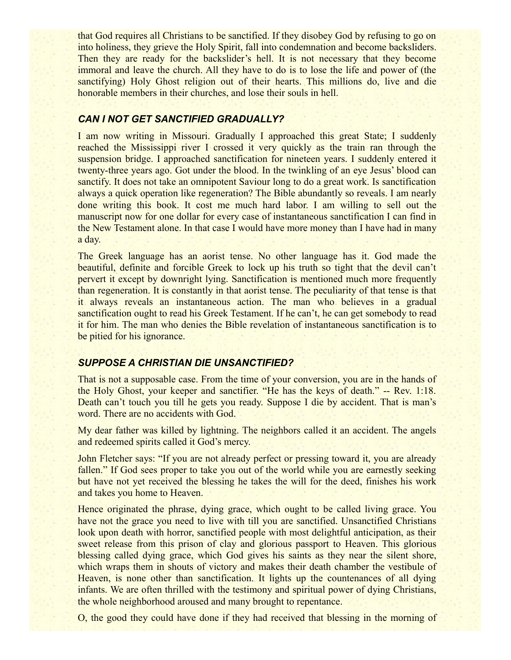that God requires all Christians to be sanctified. If they disobey God by refusing to go on into holiness, they grieve the Holy Spirit, fall into condemnation and become backsliders. Then they are ready for the backslider's hell. It is not necessary that they become immoral and leave the church. All they have to do is to lose the life and power of (the sanctifying) Holy Ghost religion out of their hearts. This millions do, live and die honorable members in their churches, and lose their souls in hell.

### *CAN I NOT GET SANCTIFIED GRADUALLY?*

I am now writing in Missouri. Gradually I approached this great State; I suddenly reached the Mississippi river I crossed it very quickly as the train ran through the suspension bridge. I approached sanctification for nineteen years. I suddenly entered it twenty-three years ago. Got under the blood. In the twinkling of an eye Jesus' blood can sanctify. It does not take an omnipotent Saviour long to do a great work. Is sanctification always a quick operation like regeneration? The Bible abundantly so reveals. I am nearly done writing this book. It cost me much hard labor. I am willing to sell out the manuscript now for one dollar for every case of instantaneous sanctification I can find in the New Testament alone. In that case I would have more money than I have had in many a day.

The Greek language has an aorist tense. No other language has it. God made the beautiful, definite and forcible Greek to lock up his truth so tight that the devil can't pervert it except by downright lying. Sanctification is mentioned much more frequently than regeneration. It is constantly in that aorist tense. The peculiarity of that tense is that it always reveals an instantaneous action. The man who believes in a gradual sanctification ought to read his Greek Testament. If he can't, he can get somebody to read it for him. The man who denies the Bible revelation of instantaneous sanctification is to be pitied for his ignorance.

### *SUPPOSE A CHRISTIAN DIE UNSANCTIFIED?*

That is not a supposable case. From the time of your conversion, you are in the hands of the Holy Ghost, your keeper and sanctifier. "He has the keys of death." -- Rev. 1:18. Death can't touch you till he gets you ready. Suppose I die by accident. That is man's word. There are no accidents with God.

My dear father was killed by lightning. The neighbors called it an accident. The angels and redeemed spirits called it God's mercy.

John Fletcher says: "If you are not already perfect or pressing toward it, you are already fallen." If God sees proper to take you out of the world while you are earnestly seeking but have not yet received the blessing he takes the will for the deed, finishes his work and takes you home to Heaven.

Hence originated the phrase, dying grace, which ought to be called living grace. You have not the grace you need to live with till you are sanctified. Unsanctified Christians look upon death with horror, sanctified people with most delightful anticipation, as their sweet release from this prison of clay and glorious passport to Heaven. This glorious blessing called dying grace, which God gives his saints as they near the silent shore, which wraps them in shouts of victory and makes their death chamber the vestibule of Heaven, is none other than sanctification. It lights up the countenances of all dying infants. We are often thrilled with the testimony and spiritual power of dying Christians, the whole neighborhood aroused and many brought to repentance.

O, the good they could have done if they had received that blessing in the morning of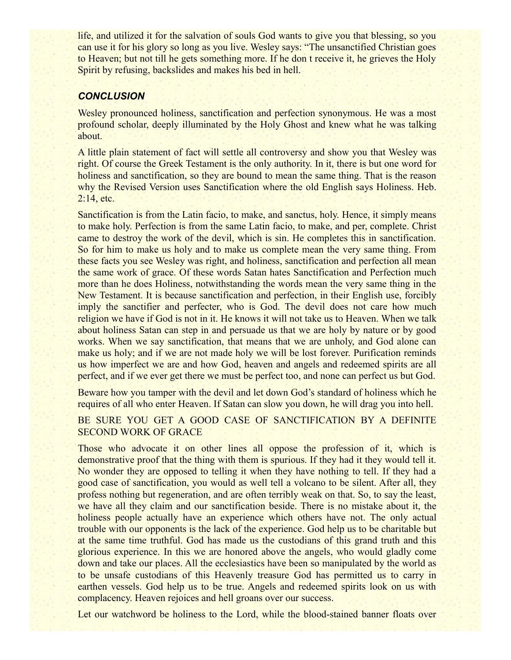life, and utilized it for the salvation of souls God wants to give you that blessing, so you can use it for his glory so long as you live. Wesley says: "The unsanctified Christian goes to Heaven; but not till he gets something more. If he don t receive it, he grieves the Holy Spirit by refusing, backslides and makes his bed in hell.

### *CONCLUSION*

Wesley pronounced holiness, sanctification and perfection synonymous. He was a most profound scholar, deeply illuminated by the Holy Ghost and knew what he was talking about.

A little plain statement of fact will settle all controversy and show you that Wesley was right. Of course the Greek Testament is the only authority. In it, there is but one word for holiness and sanctification, so they are bound to mean the same thing. That is the reason why the Revised Version uses Sanctification where the old English says Holiness. Heb. 2:14, etc.

Sanctification is from the Latin facio, to make, and sanctus, holy. Hence, it simply means to make holy. Perfection is from the same Latin facio, to make, and per, complete. Christ came to destroy the work of the devil, which is sin. He completes this in sanctification. So for him to make us holy and to make us complete mean the very same thing. From these facts you see Wesley was right, and holiness, sanctification and perfection all mean the same work of grace. Of these words Satan hates Sanctification and Perfection much more than he does Holiness, notwithstanding the words mean the very same thing in the New Testament. It is because sanctification and perfection, in their English use, forcibly imply the sanctifier and perfecter, who is God. The devil does not care how much religion we have if God is not in it. He knows it will not take us to Heaven. When we talk about holiness Satan can step in and persuade us that we are holy by nature or by good works. When we say sanctification, that means that we are unholy, and God alone can make us holy; and if we are not made holy we will be lost forever. Purification reminds us how imperfect we are and how God, heaven and angels and redeemed spirits are all perfect, and if we ever get there we must be perfect too, and none can perfect us but God.

Beware how you tamper with the devil and let down God's standard of holiness which he requires of all who enter Heaven. If Satan can slow you down, he will drag you into hell.

BE SURE YOU GET A GOOD CASE OF SANCTIFICATION BY A DEFINITE SECOND WORK OF GRACE

Those who advocate it on other lines all oppose the profession of it, which is demonstrative proof that the thing with them is spurious. If they had it they would tell it. No wonder they are opposed to telling it when they have nothing to tell. If they had a good case of sanctification, you would as well tell a volcano to be silent. After all, they profess nothing but regeneration, and are often terribly weak on that. So, to say the least, we have all they claim and our sanctification beside. There is no mistake about it, the holiness people actually have an experience which others have not. The only actual trouble with our opponents is the lack of the experience. God help us to be charitable but at the same time truthful. God has made us the custodians of this grand truth and this glorious experience. In this we are honored above the angels, who would gladly come down and take our places. All the ecclesiastics have been so manipulated by the world as to be unsafe custodians of this Heavenly treasure God has permitted us to carry in earthen vessels. God help us to be true. Angels and redeemed spirits look on us with complacency. Heaven rejoices and hell groans over our success.

Let our watchword be holiness to the Lord, while the blood-stained banner floats over